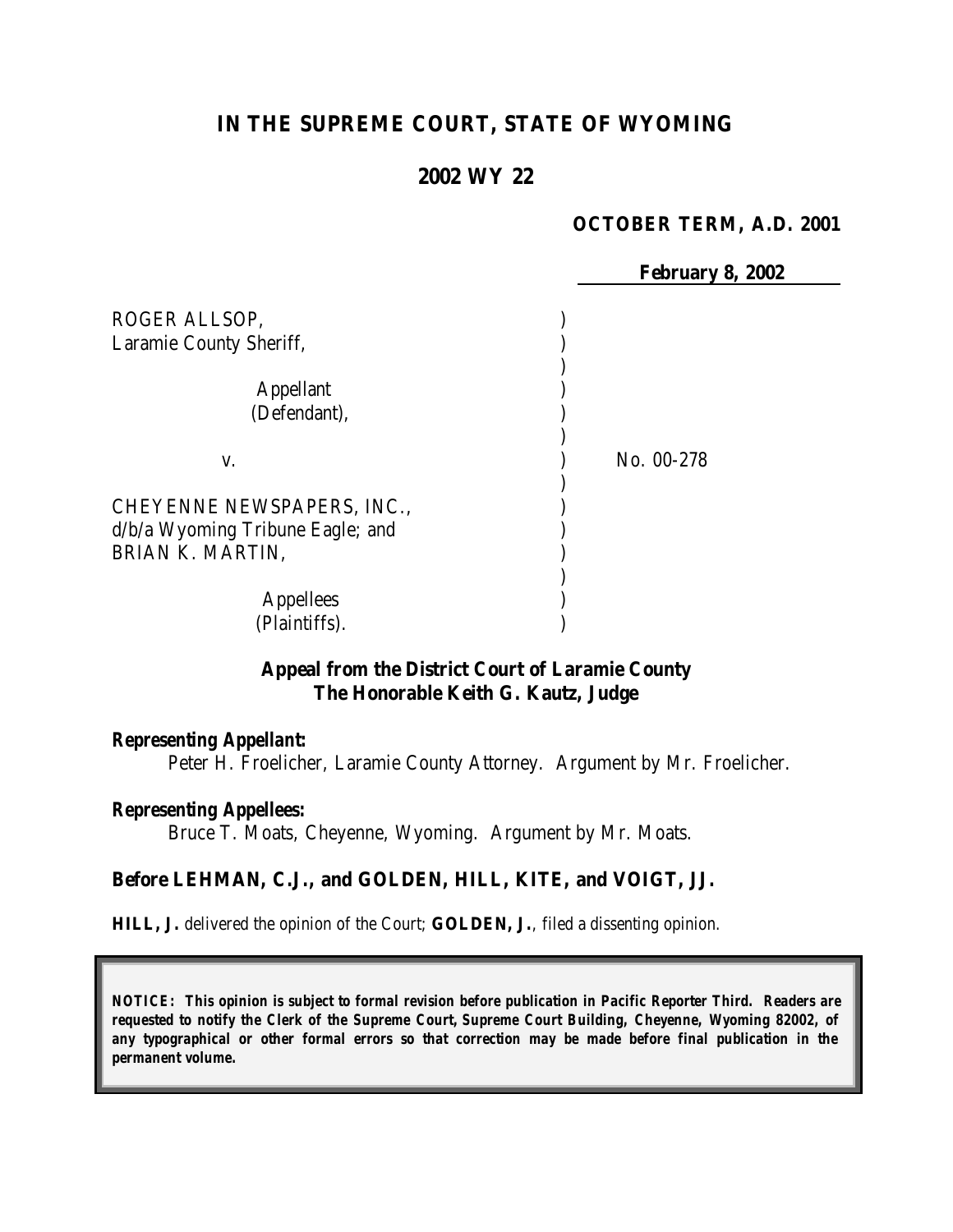# **IN THE SUPREME COURT, STATE OF WYOMING**

### **2002 WY 22**

#### **OCTOBER TERM, A.D. 2001**

|                                                      | <b>February 8, 2002</b> |
|------------------------------------------------------|-------------------------|
| ROGER ALLSOP,                                        |                         |
| Laramie County Sheriff,                              |                         |
| <b>Appellant</b><br>(Defendant),                     |                         |
|                                                      |                         |
| V.                                                   | No. 00-278              |
| CHEYENNE NEWSPAPERS, INC.,                           |                         |
| d/b/a Wyoming Tribune Eagle; and<br>BRIAN K. MARTIN, |                         |
|                                                      |                         |
| <b>Appellees</b><br>(Plaintiffs).                    |                         |

### **Appeal from the District Court of Laramie County The Honorable Keith G. Kautz, Judge**

#### *Representing Appellant:*

Peter H. Froelicher, Laramie County Attorney. Argument by Mr. Froelicher.

#### *Representing Appellees:*

Bruce T. Moats, Cheyenne, Wyoming. Argument by Mr. Moats.

#### **Before LEHMAN, C.J., and GOLDEN, HILL, KITE, and VOIGT, JJ.**

**HILL, J.** delivered the opinion of the Court; **GOLDEN, J.**, filed a dissenting opinion.

*NOTICE: This opinion is subject to formal revision before publication in Pacific Reporter Third. Readers are requested to notify the Clerk of the Supreme Court, Supreme Court Building, Cheyenne, Wyoming 82002, of any typographical or other formal errors so that correction may be made before final publication in the permanent volume.*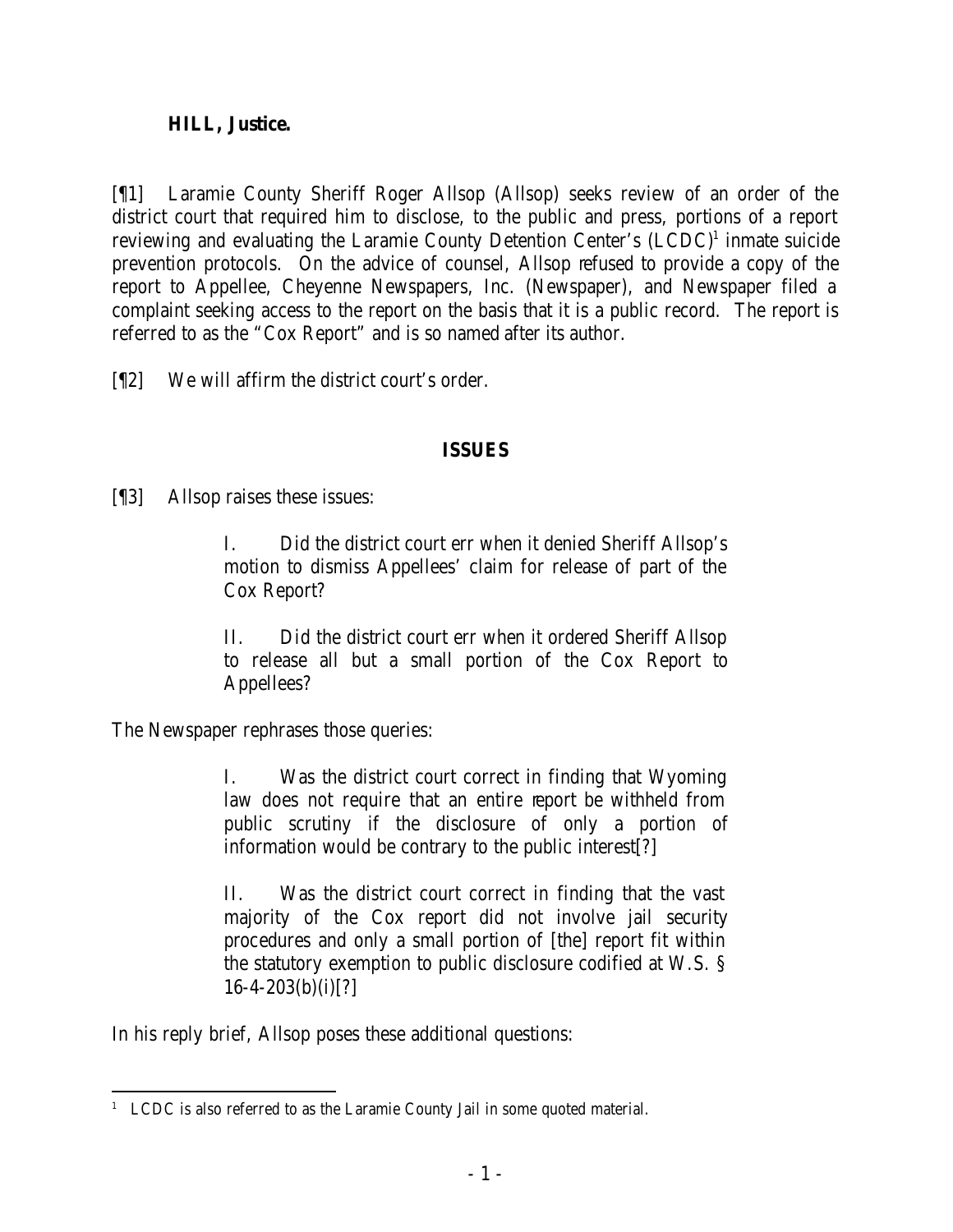## **HILL, Justice.**

[¶1] Laramie County Sheriff Roger Allsop (Allsop) seeks review of an order of the district court that required him to disclose, to the public and press, portions of a report reviewing and evaluating the Laramie County Detention Center's (LCDC)<sup>1</sup> inmate suicide prevention protocols. On the advice of counsel, Allsop refused to provide a copy of the report to Appellee, Cheyenne Newspapers, Inc. (Newspaper), and Newspaper filed a complaint seeking access to the report on the basis that it is a public record. The report is referred to as the "Cox Report" and is so named after its author.

[¶2] We will affirm the district court's order.

## **ISSUES**

[¶3] Allsop raises these issues:

I. Did the district court err when it denied Sheriff Allsop's motion to dismiss Appellees' claim for release of part of the Cox Report?

II. Did the district court err when it ordered Sheriff Allsop to release all but a small portion of the Cox Report to Appellees?

The Newspaper rephrases those queries:

I. Was the district court correct in finding that Wyoming law does not require that an entire report be withheld from public scrutiny if the disclosure of only a portion of information would be contrary to the public interest[?]

II. Was the district court correct in finding that the vast majority of the Cox report did not involve jail security procedures and only a small portion of [the] report fit within the statutory exemption to public disclosure codified at W.S. §  $16-4-203(b)(i)[?]$ 

In his reply brief, Allsop poses these additional questions:

 <sup>1</sup> LCDC is also referred to as the Laramie County Jail in some quoted material.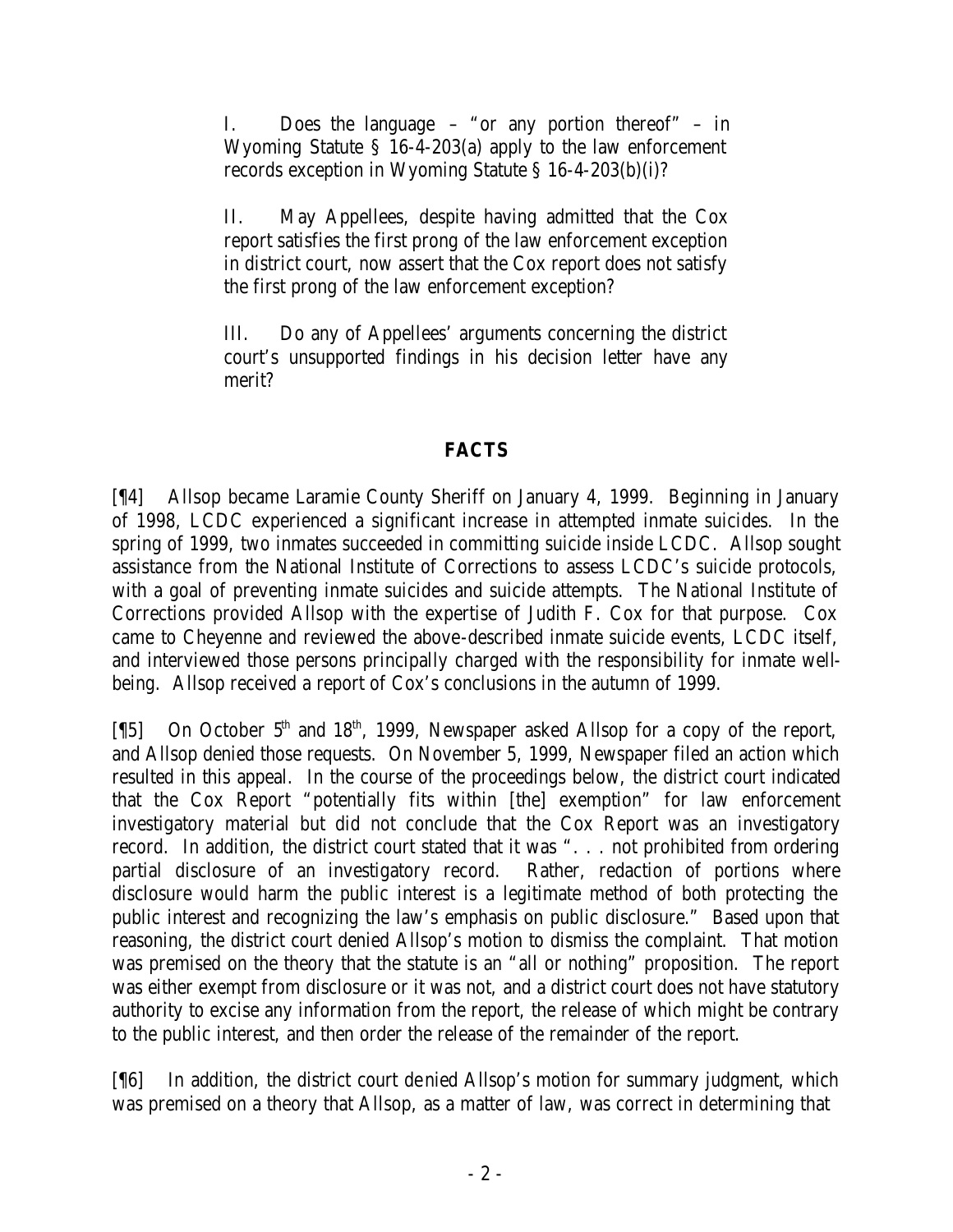I. Does the language – "or any portion thereof" – in Wyoming Statute § 16-4-203(a) apply to the law enforcement records exception in Wyoming Statute § 16-4-203(b)(i)?

II. May Appellees, despite having admitted that the Cox report satisfies the first prong of the law enforcement exception in district court, now assert that the Cox report does not satisfy the first prong of the law enforcement exception?

III. Do any of Appellees' arguments concerning the district court's unsupported findings in his decision letter have any merit?

## **FACTS**

[¶4] Allsop became Laramie County Sheriff on January 4, 1999. Beginning in January of 1998, LCDC experienced a significant increase in attempted inmate suicides. In the spring of 1999, two inmates succeeded in committing suicide inside LCDC. Allsop sought assistance from the National Institute of Corrections to assess LCDC's suicide protocols, with a goal of preventing inmate suicides and suicide attempts. The National Institute of Corrections provided Allsop with the expertise of Judith F. Cox for that purpose. Cox came to Cheyenne and reviewed the above-described inmate suicide events, LCDC itself, and interviewed those persons principally charged with the responsibility for inmate wellbeing. Allsop received a report of Cox's conclusions in the autumn of 1999.

[ $[$ [5] On October 5<sup>th</sup> and 18<sup>th</sup>, 1999, Newspaper asked Allsop for a copy of the report, and Allsop denied those requests. On November 5, 1999, Newspaper filed an action which resulted in this appeal. In the course of the proceedings below, the district court indicated that the Cox Report "potentially fits within [the] exemption" for law enforcement investigatory material but did not conclude that the Cox Report was an investigatory record. In addition, the district court stated that it was ". . . not prohibited from ordering partial disclosure of an investigatory record. Rather, redaction of portions where disclosure would harm the public interest is a legitimate method of both protecting the public interest and recognizing the law's emphasis on public disclosure." Based upon that reasoning, the district court denied Allsop's motion to dismiss the complaint. That motion was premised on the theory that the statute is an "all or nothing" proposition. The report was either exempt from disclosure or it was not, and a district court does not have statutory authority to excise any information from the report, the release of which might be contrary to the public interest, and then order the release of the remainder of the report.

[¶6] In addition, the district court denied Allsop's motion for summary judgment, which was premised on a theory that Allsop, as a matter of law, was correct in determining that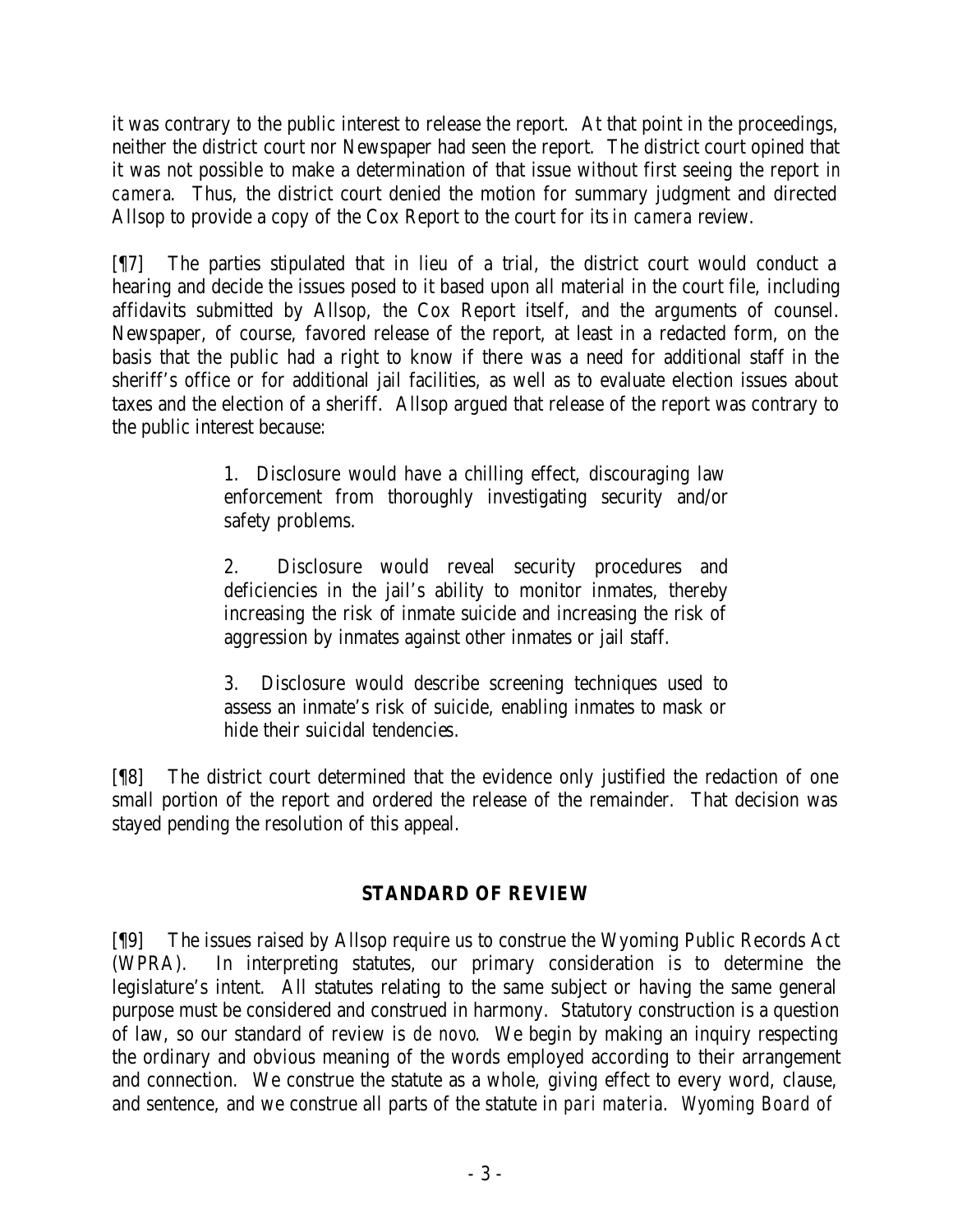it was contrary to the public interest to release the report. At that point in the proceedings, neither the district court nor Newspaper had seen the report. The district court opined that it was not possible to make a determination of that issue without first seeing the report *in camera*. Thus, the district court denied the motion for summary judgment and directed Allsop to provide a copy of the Cox Report to the court for its *in camera* review.

[¶7] The parties stipulated that in lieu of a trial, the district court would conduct a hearing and decide the issues posed to it based upon all material in the court file, including affidavits submitted by Allsop, the Cox Report itself, and the arguments of counsel. Newspaper, of course, favored release of the report, at least in a redacted form, on the basis that the public had a right to know if there was a need for additional staff in the sheriff's office or for additional jail facilities, as well as to evaluate election issues about taxes and the election of a sheriff. Allsop argued that release of the report was contrary to the public interest because:

> 1. Disclosure would have a chilling effect, discouraging law enforcement from thoroughly investigating security and/or safety problems.

> 2. Disclosure would reveal security procedures and deficiencies in the jail's ability to monitor inmates, thereby increasing the risk of inmate suicide and increasing the risk of aggression by inmates against other inmates or jail staff.

> 3. Disclosure would describe screening techniques used to assess an inmate's risk of suicide, enabling inmates to mask or hide their suicidal tendencies.

[¶8] The district court determined that the evidence only justified the redaction of one small portion of the report and ordered the release of the remainder. That decision was stayed pending the resolution of this appeal.

# **STANDARD OF REVIEW**

[¶9] The issues raised by Allsop require us to construe the Wyoming Public Records Act (WPRA). In interpreting statutes, our primary consideration is to determine the legislature's intent. All statutes relating to the same subject or having the same general purpose must be considered and construed in harmony. Statutory construction is a question of law, so our standard of review is *de novo*. We begin by making an inquiry respecting the ordinary and obvious meaning of the words employed according to their arrangement and connection. We construe the statute as a whole, giving effect to every word, clause, and sentence, and we construe all parts of the statute in *pari materia*. *Wyoming Board of*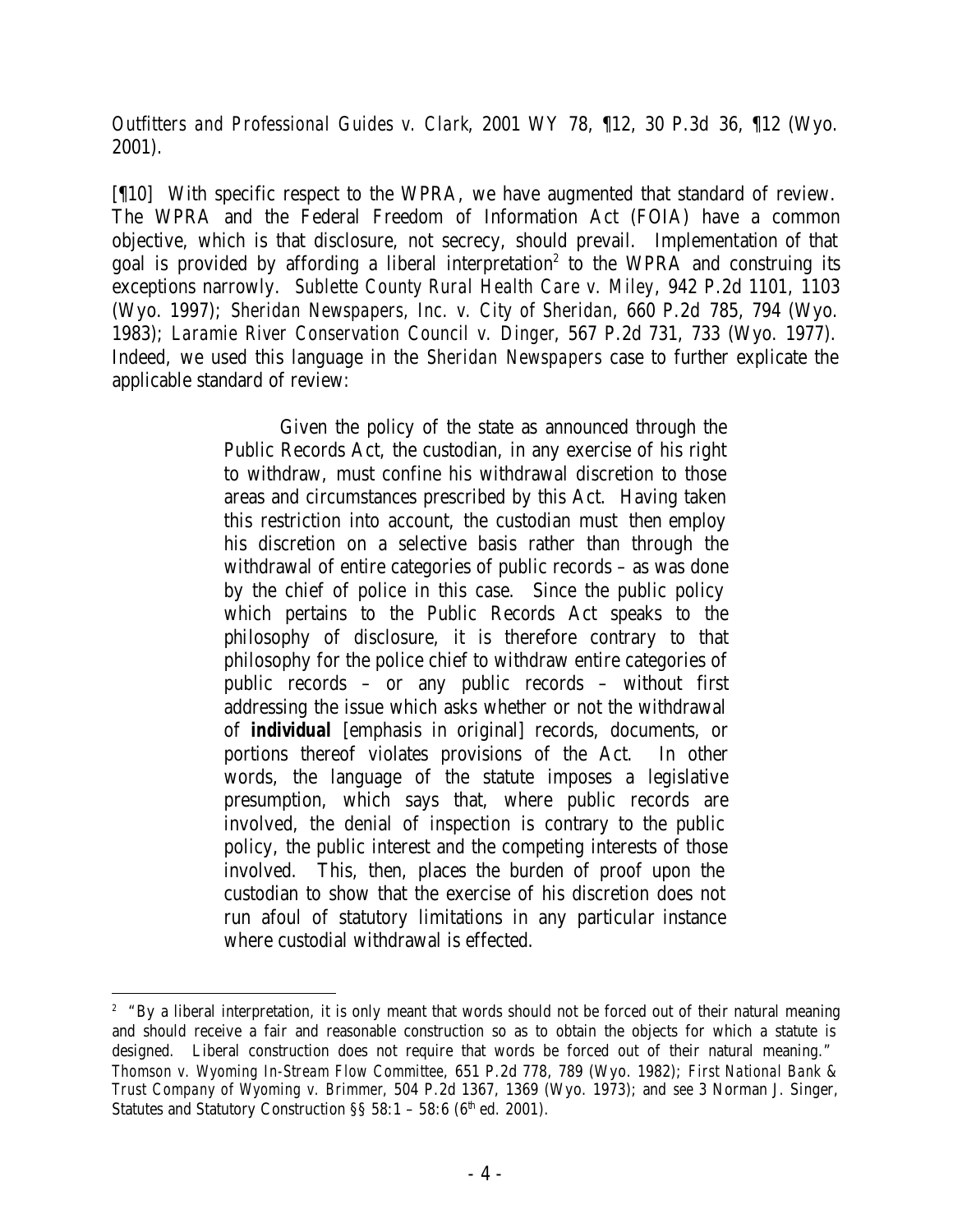*Outfitters and Professional Guides v. Clark*, 2001 WY 78, ¶12, 30 P.3d 36, ¶12 (Wyo. 2001).

[¶10] With specific respect to the WPRA, we have augmented that standard of review. The WPRA and the Federal Freedom of Information Act (FOIA) have a common objective, which is that disclosure, not secrecy, should prevail. Implementation of that goal is provided by affording a liberal interpretation<sup>2</sup> to the WPRA and construing its exceptions narrowly. *Sublette County Rural Health Care v. Miley*, 942 P.2d 1101, 1103 (Wyo. 1997); *Sheridan Newspapers, Inc. v. City of Sheridan*, 660 P.2d 785, 794 (Wyo. 1983); *Laramie River Conservation Council v. Dinger*, 567 P.2d 731, 733 (Wyo. 1977). Indeed, we used this language in the *Sheridan Newspapers* case to further explicate the applicable standard of review:

> Given the policy of the state as announced through the Public Records Act, the custodian, in any exercise of his right to withdraw, must confine his withdrawal discretion to those areas and circumstances prescribed by this Act. Having taken this restriction into account, the custodian must then employ his discretion on a selective basis rather than through the withdrawal of entire categories of public records – as was done by the chief of police in this case. Since the public policy which pertains to the Public Records Act speaks to the philosophy of disclosure, it is therefore contrary to that philosophy for the police chief to withdraw entire categories of public records – or any public records – without first addressing the issue which asks whether or not the withdrawal of *individual* [emphasis in original] records, documents, or portions thereof violates provisions of the Act. In other words, the language of the statute imposes a legislative presumption, which says that, where public records are involved, the denial of inspection is contrary to the public policy, the public interest and the competing interests of those involved. This, then, places the burden of proof upon the custodian to show that the exercise of his discretion does not run afoul of statutory limitations in any particular instance where custodial withdrawal is effected.

<sup>&</sup>lt;sup>2</sup> "By a liberal interpretation, it is only meant that words should not be forced out of their natural meaning and should receive a fair and reasonable construction so as to obtain the objects for which a statute is designed. Liberal construction does not require that words be forced out of their natural meaning." *Thomson v. Wyoming In-Stream Flow Committee*, 651 P.2d 778, 789 (Wyo. 1982); *First National Bank & Trust Company of Wyoming v. Brimmer*, 504 P.2d 1367, 1369 (Wyo. 1973); and *see* 3 Norman J. Singer, Statutes and Statutory Construction  $\S$ § 58:1 – 58:6 (6<sup>th</sup> ed. 2001).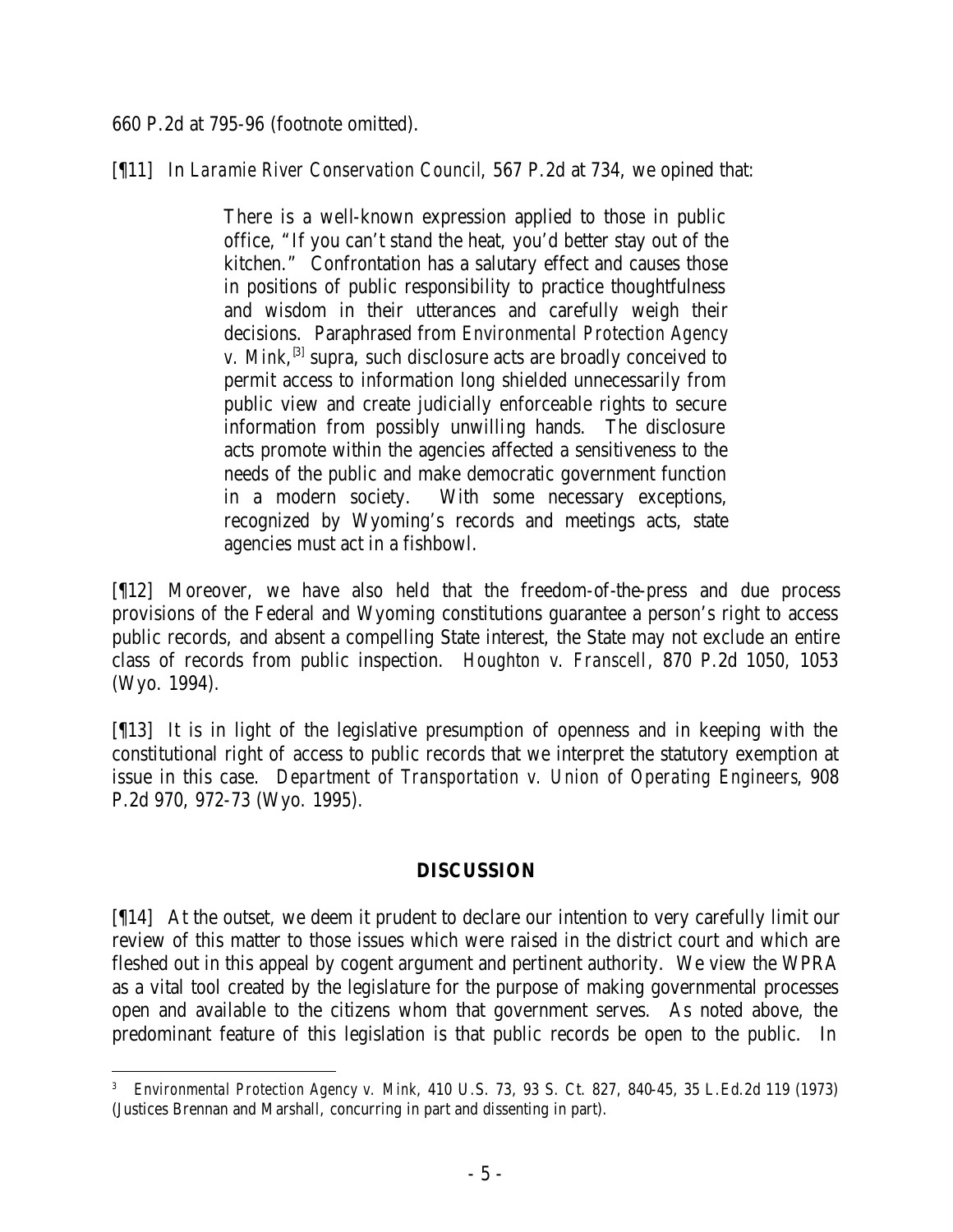660 P.2d at 795-96 (footnote omitted).

[¶11] In *Laramie River Conservation Council*, 567 P.2d at 734, we opined that:

There is a well-known expression applied to those in public office, "If you can't stand the heat, you'd better stay out of the kitchen." Confrontation has a salutary effect and causes those in positions of public responsibility to practice thoughtfulness and wisdom in their utterances and carefully weigh their decisions. Paraphrased from *Environmental Protection Agency v. Mink*, <sup>[3]</sup> supra, such disclosure acts are broadly conceived to permit access to information long shielded unnecessarily from public view and create judicially enforceable rights to secure information from possibly unwilling hands. The disclosure acts promote within the agencies affected a sensitiveness to the needs of the public and make democratic government function in a modern society. With some necessary exceptions, recognized by Wyoming's records and meetings acts, state agencies must act in a fishbowl.

[¶12] Moreover, we have also held that the freedom-of-the-press and due process provisions of the Federal and Wyoming constitutions guarantee a person's right to access public records, and absent a compelling State interest, the State may not exclude an entire class of records from public inspection. *Houghton v. Franscell*, 870 P.2d 1050, 1053 (Wyo. 1994).

[¶13] It is in light of the legislative presumption of openness and in keeping with the constitutional right of access to public records that we interpret the statutory exemption at issue in this case. *Department of Transportation v. Union of Operating Engineers*, 908 P.2d 970, 972-73 (Wyo. 1995).

## **DISCUSSION**

[¶14] At the outset, we deem it prudent to declare our intention to very carefully limit our review of this matter to those issues which were raised in the district court and which are fleshed out in this appeal by cogent argument and pertinent authority. We view the WPRA as a vital tool created by the legislature for the purpose of making governmental processes open and available to the citizens whom that government serves. As noted above, the predominant feature of this legislation is that public records be open to the public. In

 3 *Environmental Protection Agency v. Mink*, 410 U.S. 73, 93 S. Ct. 827, 840-45, 35 L.Ed.2d 119 (1973) (Justices Brennan and Marshall, concurring in part and dissenting in part).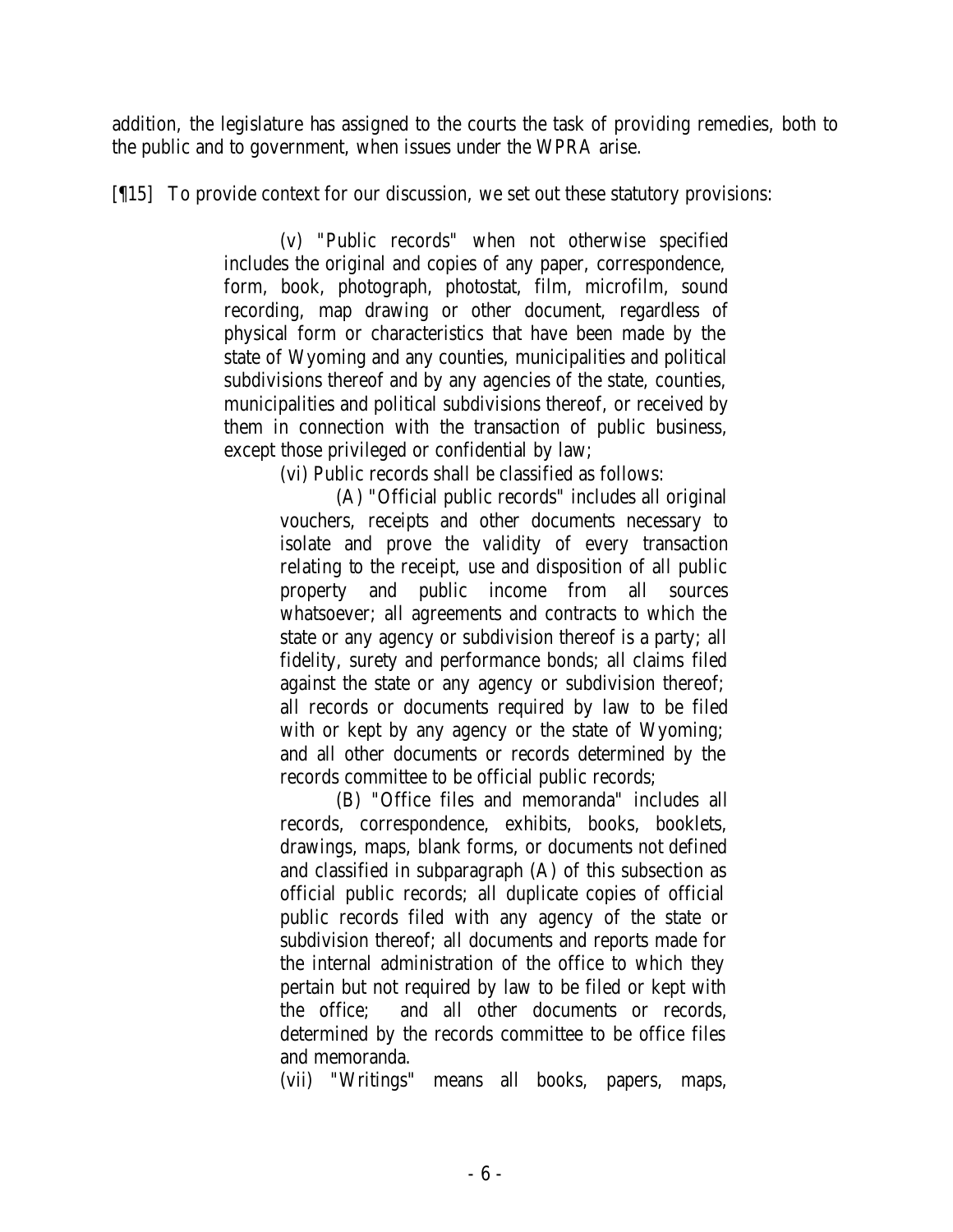addition, the legislature has assigned to the courts the task of providing remedies, both to the public and to government, when issues under the WPRA arise.

[¶15] To provide context for our discussion, we set out these statutory provisions:

(v) "Public records" when not otherwise specified includes the original and copies of any paper, correspondence, form, book, photograph, photostat, film, microfilm, sound recording, map drawing or other document, regardless of physical form or characteristics that have been made by the state of Wyoming and any counties, municipalities and political subdivisions thereof and by any agencies of the state, counties, municipalities and political subdivisions thereof, or received by them in connection with the transaction of public business, except those privileged or confidential by law;

(vi) Public records shall be classified as follows:

(A) "Official public records" includes all original vouchers, receipts and other documents necessary to isolate and prove the validity of every transaction relating to the receipt, use and disposition of all public property and public income from all sources whatsoever; all agreements and contracts to which the state or any agency or subdivision thereof is a party; all fidelity, surety and performance bonds; all claims filed against the state or any agency or subdivision thereof; all records or documents required by law to be filed with or kept by any agency or the state of Wyoming; and all other documents or records determined by the records committee to be official public records;

(B) "Office files and memoranda" includes all records, correspondence, exhibits, books, booklets, drawings, maps, blank forms, or documents not defined and classified in subparagraph (A) of this subsection as official public records; all duplicate copies of official public records filed with any agency of the state or subdivision thereof; all documents and reports made for the internal administration of the office to which they pertain but not required by law to be filed or kept with the office; and all other documents or records, determined by the records committee to be office files and memoranda.

(vii) "Writings" means all books, papers, maps,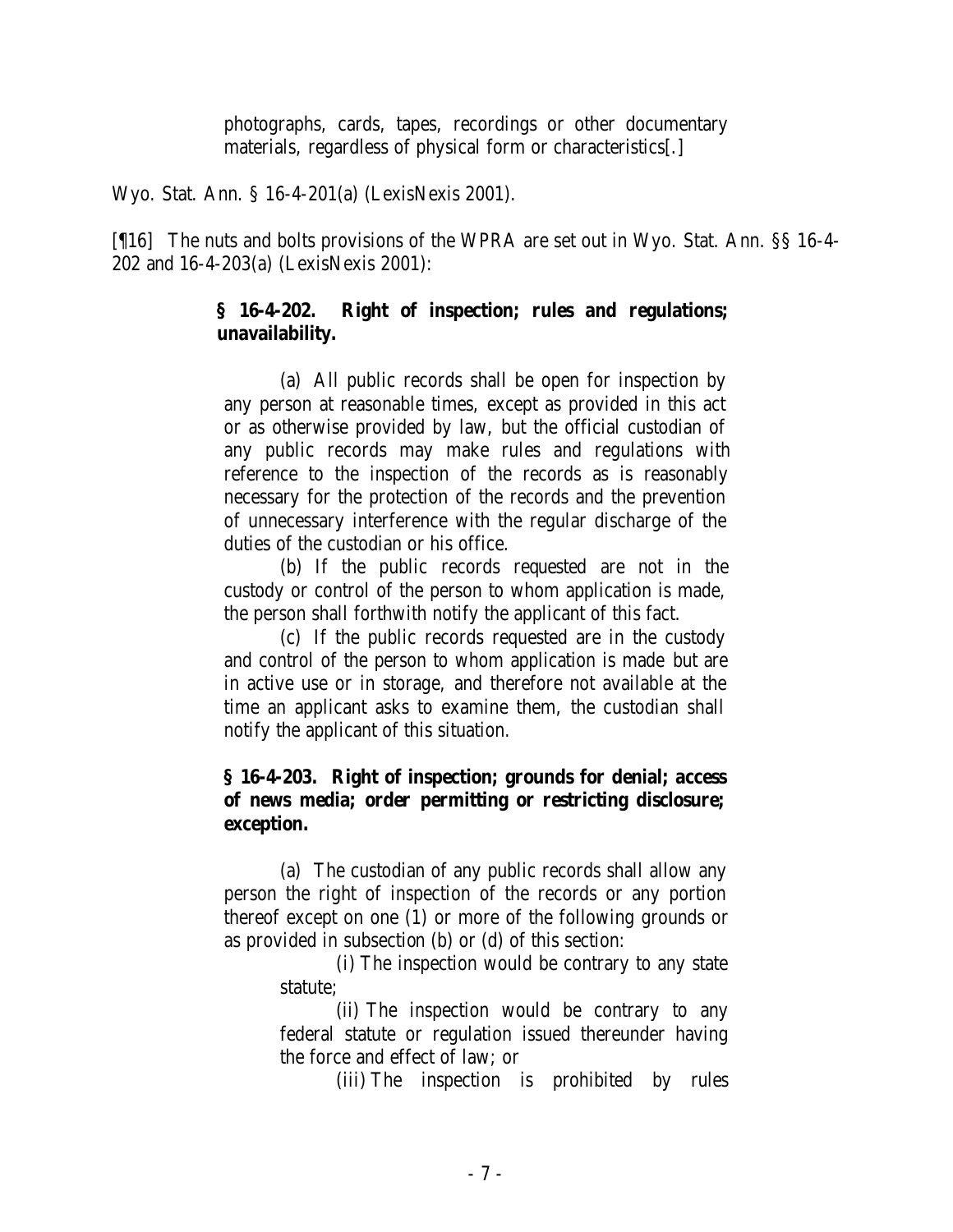photographs, cards, tapes, recordings or other documentary materials, regardless of physical form or characteristics[.]

Wyo. Stat. Ann. § 16-4-201(a) (LexisNexis 2001).

[¶16] The nuts and bolts provisions of the WPRA are set out in Wyo. Stat. Ann. §§ 16-4- 202 and 16-4-203(a) (LexisNexis 2001):

## **§ 16-4-202. Right of inspection; rules and regulations; unavailability.**

(a) All public records shall be open for inspection by any person at reasonable times, except as provided in this act or as otherwise provided by law, but the official custodian of any public records may make rules and regulations with reference to the inspection of the records as is reasonably necessary for the protection of the records and the prevention of unnecessary interference with the regular discharge of the duties of the custodian or his office.

(b) If the public records requested are not in the custody or control of the person to whom application is made, the person shall forthwith notify the applicant of this fact.

(c) If the public records requested are in the custody and control of the person to whom application is made but are in active use or in storage, and therefore not available at the time an applicant asks to examine them, the custodian shall notify the applicant of this situation.

## **§ 16-4-203. Right of inspection; grounds for denial; access of news media; order permitting or restricting disclosure; exception.**

(a) The custodian of any public records shall allow any person the right of inspection of the records or any portion thereof except on one (1) or more of the following grounds or as provided in subsection (b) or (d) of this section:

(i) The inspection would be contrary to any state statute;

(ii) The inspection would be contrary to any federal statute or regulation issued thereunder having the force and effect of law; or

(iii) The inspection is prohibited by rules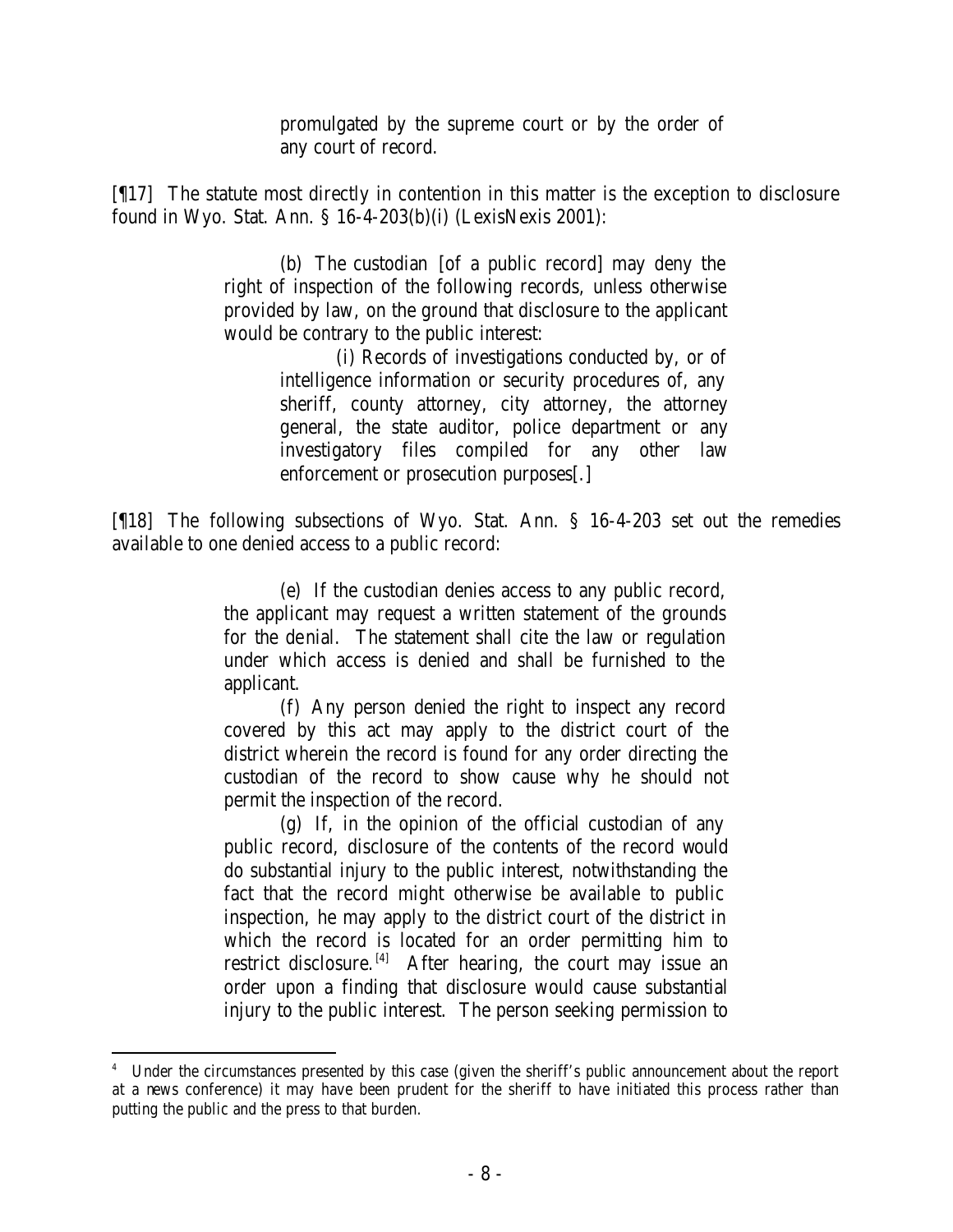promulgated by the supreme court or by the order of any court of record.

[¶17] The statute most directly in contention in this matter is the exception to disclosure found in Wyo. Stat. Ann. § 16-4-203(b)(i) (LexisNexis 2001):

> (b) The custodian [of a public record] may deny the right of inspection of the following records, unless otherwise provided by law, on the ground that disclosure to the applicant would be contrary to the public interest:

> > (i) Records of investigations conducted by, or of intelligence information or security procedures of, any sheriff, county attorney, city attorney, the attorney general, the state auditor, police department or any investigatory files compiled for any other law enforcement or prosecution purposes[.]

[¶18] The following subsections of Wyo. Stat. Ann. § 16-4-203 set out the remedies available to one denied access to a public record:

> (e) If the custodian denies access to any public record, the applicant may request a written statement of the grounds for the denial. The statement shall cite the law or regulation under which access is denied and shall be furnished to the applicant.

> (f) Any person denied the right to inspect any record covered by this act may apply to the district court of the district wherein the record is found for any order directing the custodian of the record to show cause why he should not permit the inspection of the record.

> (g) If, in the opinion of the official custodian of any public record, disclosure of the contents of the record would do substantial injury to the public interest, notwithstanding the fact that the record might otherwise be available to public inspection, he may apply to the district court of the district in which the record is located for an order permitting him to restrict disclosure.<sup>[4]</sup> After hearing, the court may issue an order upon a finding that disclosure would cause substantial injury to the public interest. The person seeking permission to

<sup>4</sup> Under the circumstances presented by this case (given the sheriff's public announcement about the report at a news conference) it may have been prudent for the sheriff to have initiated this process rather than putting the public and the press to that burden.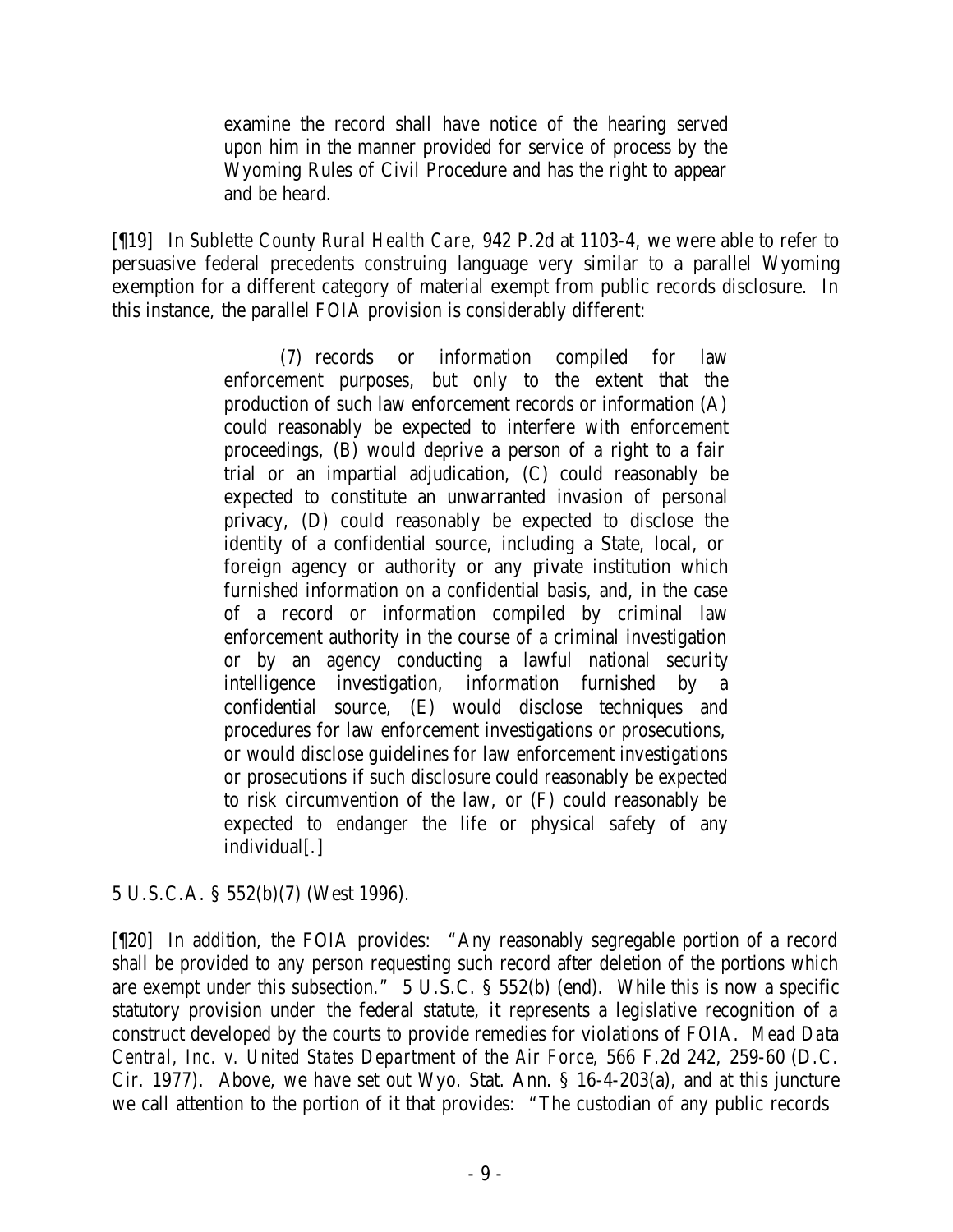examine the record shall have notice of the hearing served upon him in the manner provided for service of process by the Wyoming Rules of Civil Procedure and has the right to appear and be heard.

[¶19] In *Sublette County Rural Health Care*, 942 P.2d at 1103-4, we were able to refer to persuasive federal precedents construing language very similar to a parallel Wyoming exemption for a different category of material exempt from public records disclosure. In this instance, the parallel FOIA provision is considerably different:

> (7) records or information compiled for law enforcement purposes, but only to the extent that the production of such law enforcement records or information (A) could reasonably be expected to interfere with enforcement proceedings, (B) would deprive a person of a right to a fair trial or an impartial adjudication, (C) could reasonably be expected to constitute an unwarranted invasion of personal privacy, (D) could reasonably be expected to disclose the identity of a confidential source, including a State, local, or foreign agency or authority or any private institution which furnished information on a confidential basis, and, in the case of a record or information compiled by criminal law enforcement authority in the course of a criminal investigation or by an agency conducting a lawful national security intelligence investigation, information furnished by a confidential source, (E) would disclose techniques and procedures for law enforcement investigations or prosecutions, or would disclose guidelines for law enforcement investigations or prosecutions if such disclosure could reasonably be expected to risk circumvention of the law, or (F) could reasonably be expected to endanger the life or physical safety of any individual[.]

## 5 U.S.C.A. § 552(b)(7) (West 1996).

[¶20] In addition, the FOIA provides: "Any reasonably segregable portion of a record shall be provided to any person requesting such record after deletion of the portions which are exempt under this subsection." 5 U.S.C. § 552(b) (end). While this is now a specific statutory provision under the federal statute, it represents a legislative recognition of a construct developed by the courts to provide remedies for violations of FOIA. *Mead Data Central, Inc. v. United States Department of the Air Force*, 566 F.2d 242, 259-60 (D.C. Cir. 1977). Above, we have set out Wyo. Stat. Ann. § 16-4-203(a), and at this juncture we call attention to the portion of it that provides: "The custodian of any public records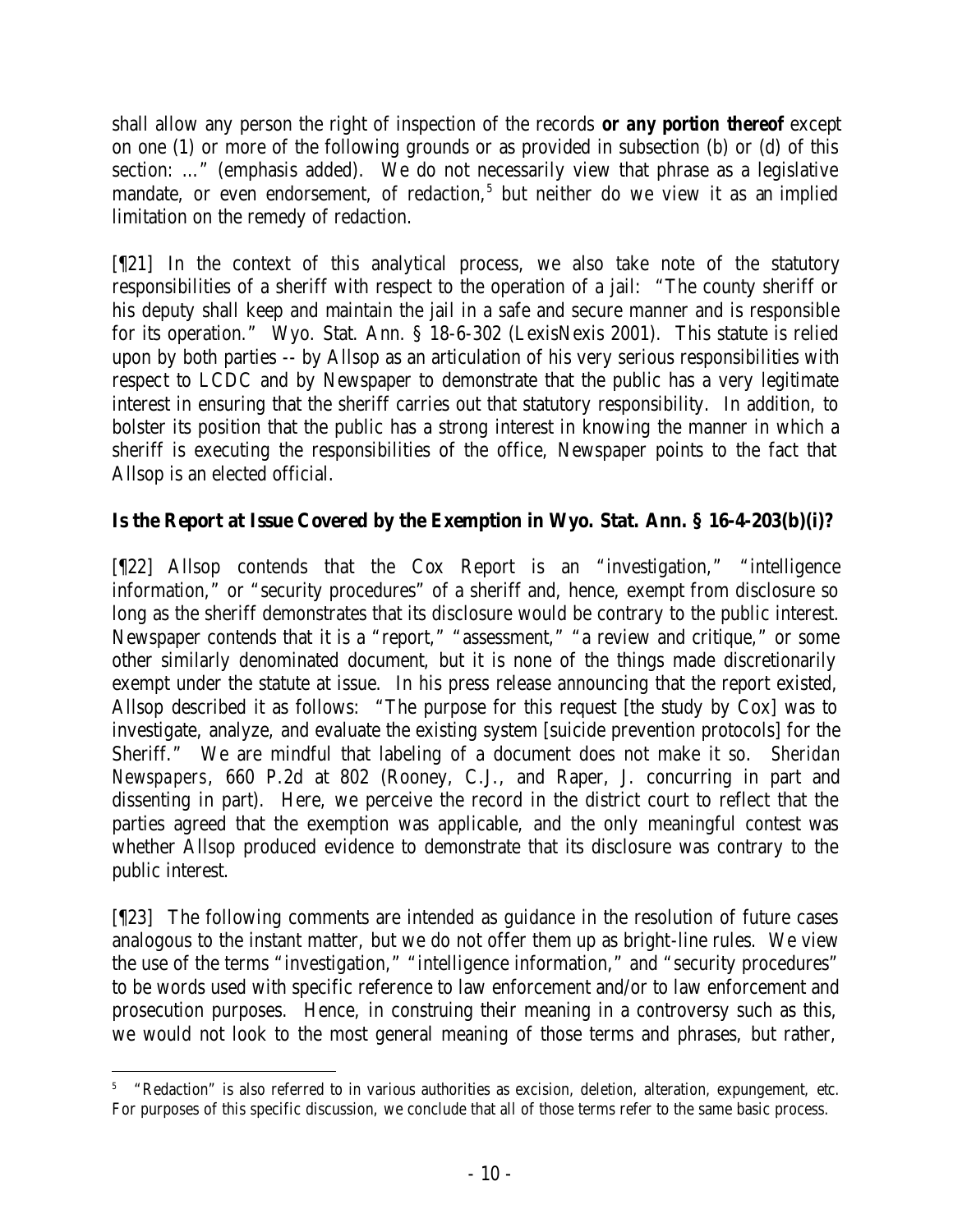shall allow any person the right of inspection of the records *or any portion thereof* except on one (1) or more of the following grounds or as provided in subsection (b) or (d) of this section: …" (emphasis added). We do not necessarily view that phrase as a legislative mandate, or even endorsement, of redaction,<sup>5</sup> but neither do we view it as an implied limitation on the remedy of redaction.

[¶21] In the context of this analytical process, we also take note of the statutory responsibilities of a sheriff with respect to the operation of a jail: "The county sheriff or his deputy shall keep and maintain the jail in a safe and secure manner and is responsible for its operation." Wyo. Stat. Ann. § 18-6-302 (LexisNexis 2001). This statute is relied upon by both parties -- by Allsop as an articulation of his very serious responsibilities with respect to LCDC and by Newspaper to demonstrate that the public has a very legitimate interest in ensuring that the sheriff carries out that statutory responsibility. In addition, to bolster its position that the public has a strong interest in knowing the manner in which a sheriff is executing the responsibilities of the office, Newspaper points to the fact that Allsop is an elected official.

# **Is the Report at Issue Covered by the Exemption in Wyo. Stat. Ann. § 16-4-203(b)(i)?**

[¶22] Allsop contends that the Cox Report is an "investigation," "intelligence information," or "security procedures" of a sheriff and, hence, exempt from disclosure so long as the sheriff demonstrates that its disclosure would be contrary to the public interest. Newspaper contends that it is a "report," "assessment," "a review and critique," or some other similarly denominated document, but it is none of the things made discretionarily exempt under the statute at issue. In his press release announcing that the report existed, Allsop described it as follows: "The purpose for this request [the study by Cox] was to investigate, analyze, and evaluate the existing system [suicide prevention protocols] for the Sheriff." We are mindful that labeling of a document does not make it so. *Sheridan Newspapers*, 660 P.2d at 802 (Rooney, C.J., and Raper, J. concurring in part and dissenting in part). Here, we perceive the record in the district court to reflect that the parties agreed that the exemption was applicable, and the only meaningful contest was whether Allsop produced evidence to demonstrate that its disclosure was contrary to the public interest.

[¶23] The following comments are intended as guidance in the resolution of future cases analogous to the instant matter, but we do not offer them up as bright-line rules. We view the use of the terms "investigation," "intelligence information," and "security procedures" to be words used with specific reference to law enforcement and/or to law enforcement and prosecution purposes. Hence, in construing their meaning in a controversy such as this, we would not look to the most general meaning of those terms and phrases, but rather,

 5 "Redaction" is also referred to in various authorities as excision, deletion, alteration, expungement, etc. For purposes of this specific discussion, we conclude that all of those terms refer to the same basic process.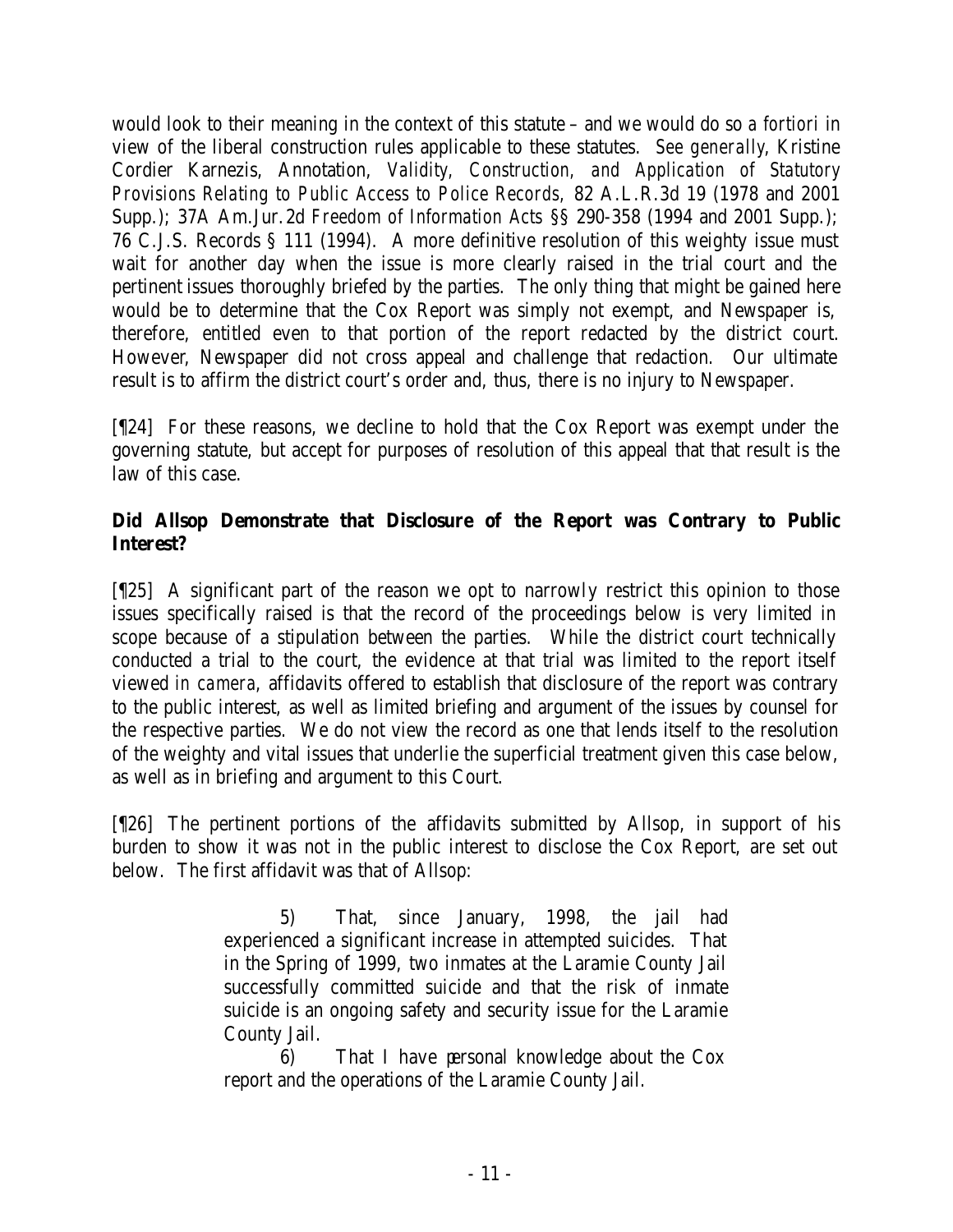would look to their meaning in the context of this statute – and we would do so *a fortiori* in view of the liberal construction rules applicable to these statutes. *See generally*, Kristine Cordier Karnezis, Annotation, *Validity, Construction, and Application of Statutory Provisions Relating to Public Access to Police Records,* 82 A.L.R.3d 19 (1978 and 2001 Supp.); 37A Am.Jur.2d *Freedom of Information Acts* §§ 290-358 (1994 and 2001 Supp.); 76 C.J.S. Records § 111 (1994). A more definitive resolution of this weighty issue must wait for another day when the issue is more clearly raised in the trial court and the pertinent issues thoroughly briefed by the parties. The only thing that might be gained here would be to determine that the Cox Report was simply not exempt, and Newspaper is, therefore, entitled even to that portion of the report redacted by the district court. However, Newspaper did not cross appeal and challenge that redaction. Our ultimate result is to affirm the district court's order and, thus, there is no injury to Newspaper.

[¶24] For these reasons, we decline to hold that the Cox Report was exempt under the governing statute, but accept for purposes of resolution of this appeal that that result is the law of this case.

# **Did Allsop Demonstrate that Disclosure of the Report was Contrary to Public Interest?**

[¶25] A significant part of the reason we opt to narrowly restrict this opinion to those issues specifically raised is that the record of the proceedings below is very limited in scope because of a stipulation between the parties. While the district court technically conducted a trial to the court, the evidence at that trial was limited to the report itself viewed *in camera*, affidavits offered to establish that disclosure of the report was contrary to the public interest, as well as limited briefing and argument of the issues by counsel for the respective parties. We do not view the record as one that lends itself to the resolution of the weighty and vital issues that underlie the superficial treatment given this case below, as well as in briefing and argument to this Court.

[¶26] The pertinent portions of the affidavits submitted by Allsop, in support of his burden to show it was not in the public interest to disclose the Cox Report, are set out below. The first affidavit was that of Allsop:

> 5) That, since January, 1998, the jail had experienced a significant increase in attempted suicides. That in the Spring of 1999, two inmates at the Laramie County Jail successfully committed suicide and that the risk of inmate suicide is an ongoing safety and security issue for the Laramie County Jail.

6) That I have personal knowledge about the Cox report and the operations of the Laramie County Jail.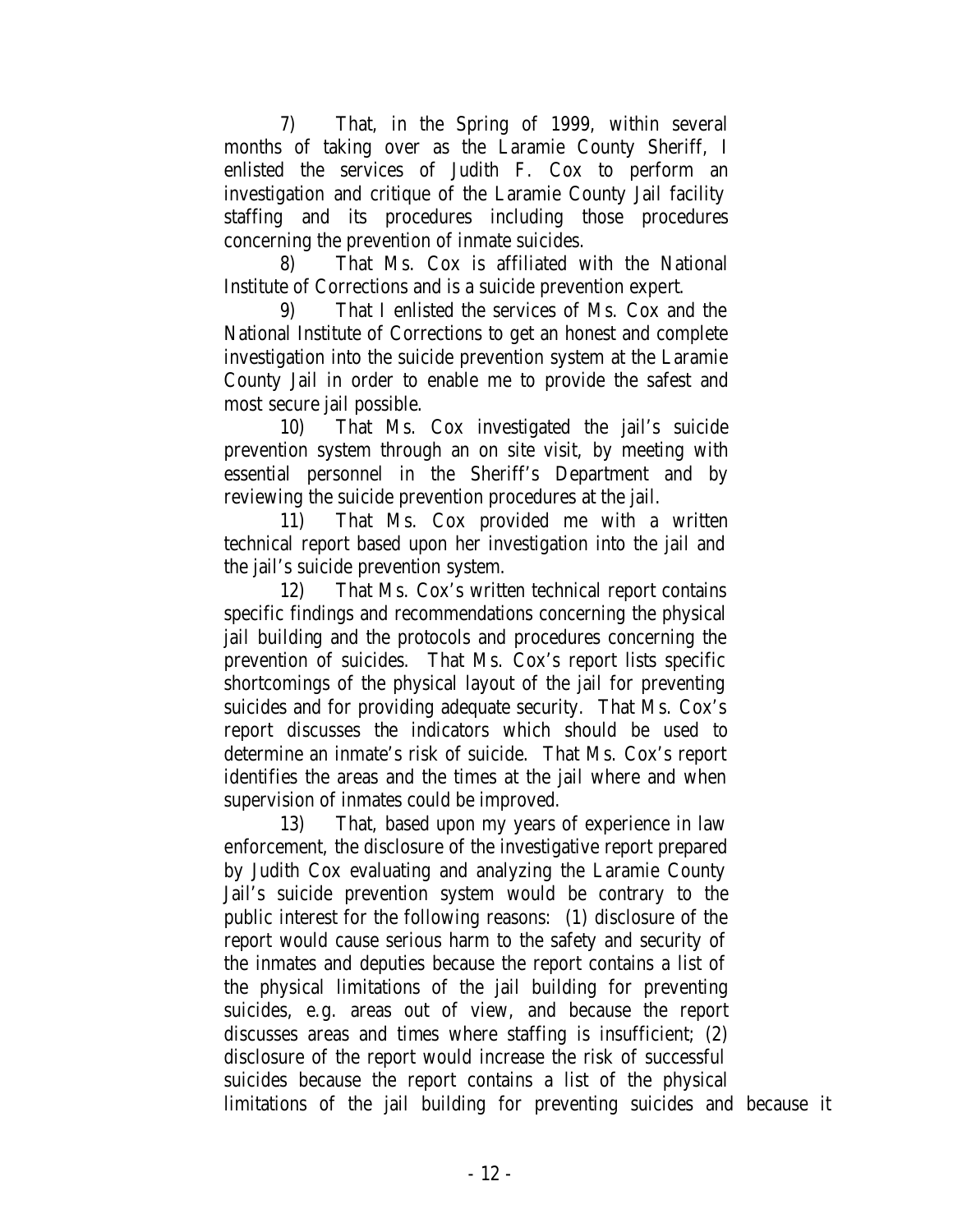7) That, in the Spring of 1999, within several months of taking over as the Laramie County Sheriff, I enlisted the services of Judith F. Cox to perform an investigation and critique of the Laramie County Jail facility staffing and its procedures including those procedures concerning the prevention of inmate suicides.

8) That Ms. Cox is affiliated with the National Institute of Corrections and is a suicide prevention expert.

9) That I enlisted the services of Ms. Cox and the National Institute of Corrections to get an honest and complete investigation into the suicide prevention system at the Laramie County Jail in order to enable me to provide the safest and most secure jail possible.

10) That Ms. Cox investigated the jail's suicide prevention system through an on site visit, by meeting with essential personnel in the Sheriff's Department and by reviewing the suicide prevention procedures at the jail.

11) That Ms. Cox provided me with a written technical report based upon her investigation into the jail and the jail's suicide prevention system.

12) That Ms. Cox's written technical report contains specific findings and recommendations concerning the physical jail building and the protocols and procedures concerning the prevention of suicides. That Ms. Cox's report lists specific shortcomings of the physical layout of the jail for preventing suicides and for providing adequate security. That Ms. Cox's report discusses the indicators which should be used to determine an inmate's risk of suicide. That Ms. Cox's report identifies the areas and the times at the jail where and when supervision of inmates could be improved.

13) That, based upon my years of experience in law enforcement, the disclosure of the investigative report prepared by Judith Cox evaluating and analyzing the Laramie County Jail's suicide prevention system would be contrary to the public interest for the following reasons: (1) disclosure of the report would cause serious harm to the safety and security of the inmates and deputies because the report contains a list of the physical limitations of the jail building for preventing suicides, e.g. areas out of view, and because the report discusses areas and times where staffing is insufficient; (2) disclosure of the report would increase the risk of successful suicides because the report contains a list of the physical limitations of the jail building for preventing suicides and because it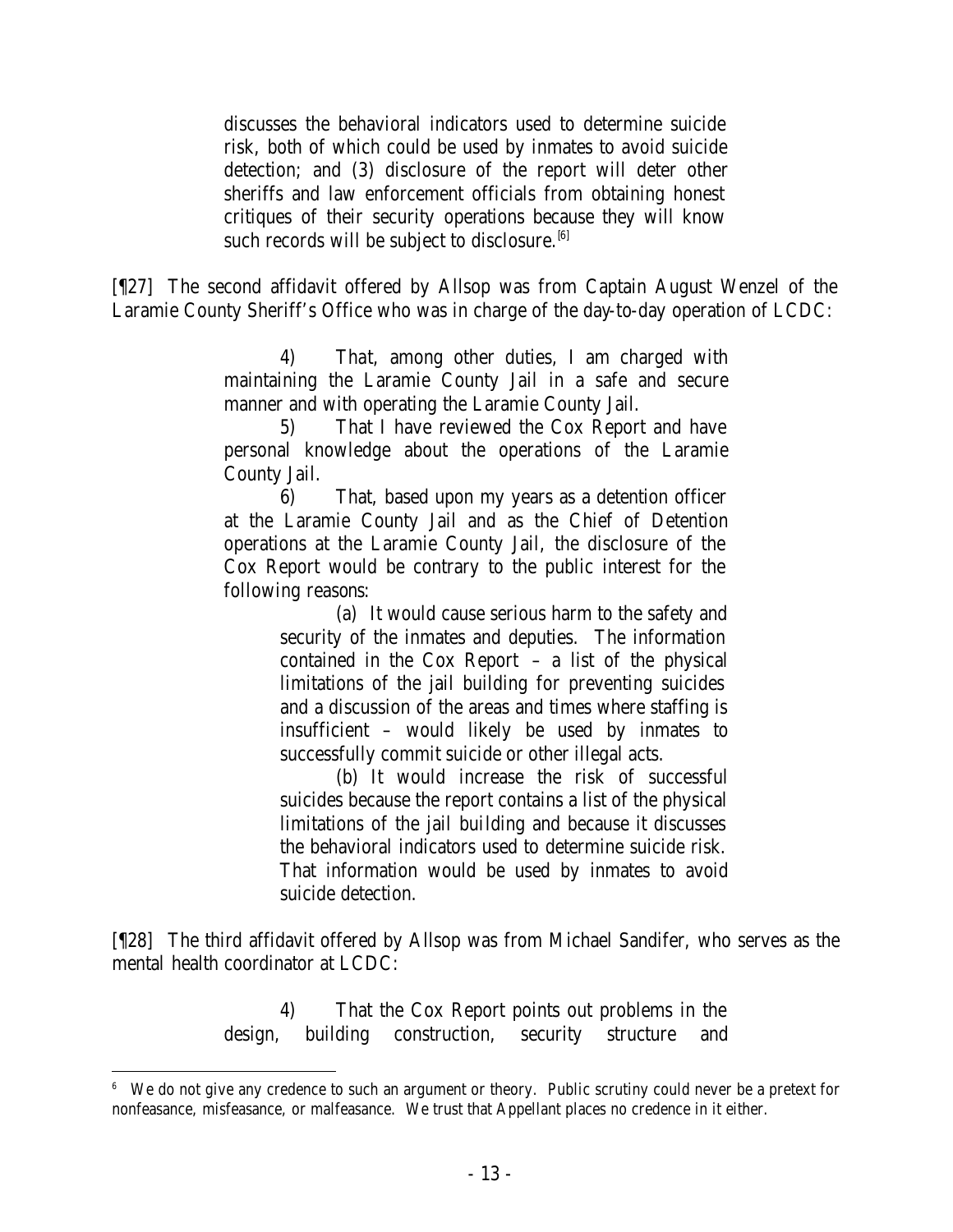discusses the behavioral indicators used to determine suicide risk, both of which could be used by inmates to avoid suicide detection; and (3) disclosure of the report will deter other sheriffs and law enforcement officials from obtaining honest critiques of their security operations because they will know such records will be subject to disclosure.  $[6]$ 

[¶27] The second affidavit offered by Allsop was from Captain August Wenzel of the Laramie County Sheriff's Office who was in charge of the day-to-day operation of LCDC:

> 4) That, among other duties, I am charged with maintaining the Laramie County Jail in a safe and secure manner and with operating the Laramie County Jail.

> 5) That I have reviewed the Cox Report and have personal knowledge about the operations of the Laramie County Jail.

> 6) That, based upon my years as a detention officer at the Laramie County Jail and as the Chief of Detention operations at the Laramie County Jail, the disclosure of the Cox Report would be contrary to the public interest for the following reasons:

> > (a) It would cause serious harm to the safety and security of the inmates and deputies. The information contained in the Cox Report – a list of the physical limitations of the jail building for preventing suicides and a discussion of the areas and times where staffing is insufficient – would likely be used by inmates to successfully commit suicide or other illegal acts.

> > (b) It would increase the risk of successful suicides because the report contains a list of the physical limitations of the jail building and because it discusses the behavioral indicators used to determine suicide risk. That information would be used by inmates to avoid suicide detection.

[¶28] The third affidavit offered by Allsop was from Michael Sandifer, who serves as the mental health coordinator at LCDC:

> 4) That the Cox Report points out problems in the design, building construction, security structure and

<sup>6</sup> We do not give any credence to such an argument or theory. Public scrutiny could never be a pretext for nonfeasance, misfeasance, or malfeasance. We trust that Appellant places no credence in it either.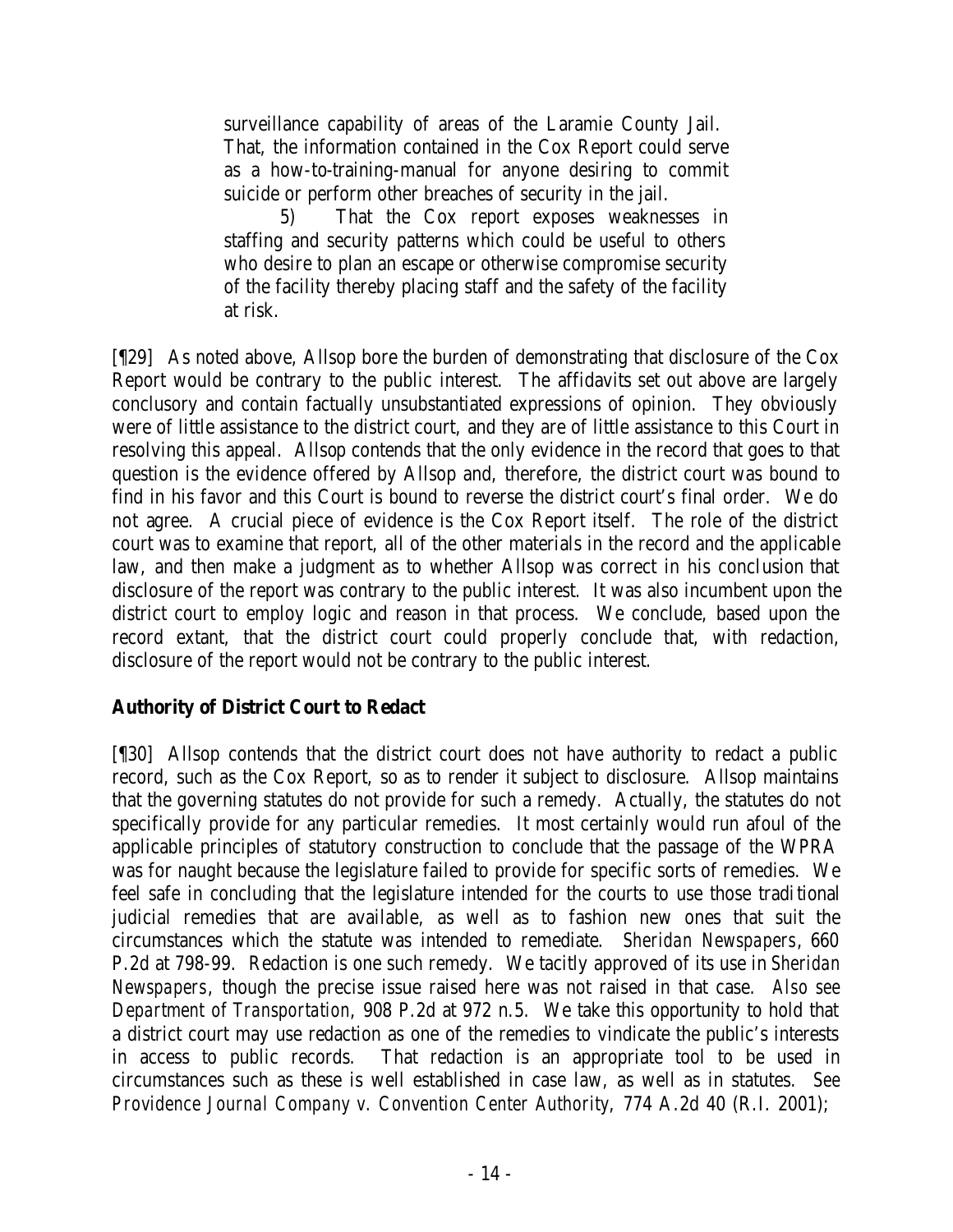surveillance capability of areas of the Laramie County Jail. That, the information contained in the Cox Report could serve as a how-to-training-manual for anyone desiring to commit suicide or perform other breaches of security in the jail.

5) That the Cox report exposes weaknesses in staffing and security patterns which could be useful to others who desire to plan an escape or otherwise compromise security of the facility thereby placing staff and the safety of the facility at risk.

[¶29] As noted above, Allsop bore the burden of demonstrating that disclosure of the Cox Report would be contrary to the public interest. The affidavits set out above are largely conclusory and contain factually unsubstantiated expressions of opinion. They obviously were of little assistance to the district court, and they are of little assistance to this Court in resolving this appeal. Allsop contends that the only evidence in the record that goes to that question is the evidence offered by Allsop and, therefore, the district court was bound to find in his favor and this Court is bound to reverse the district court's final order. We do not agree. A crucial piece of evidence is the Cox Report itself. The role of the district court was to examine that report, all of the other materials in the record and the applicable law, and then make a judgment as to whether Allsop was correct in his conclusion that disclosure of the report was contrary to the public interest. It was also incumbent upon the district court to employ logic and reason in that process. We conclude, based upon the record extant, that the district court could properly conclude that, with redaction, disclosure of the report would not be contrary to the public interest.

# **Authority of District Court to Redact**

[¶30] Allsop contends that the district court does not have authority to redact a public record, such as the Cox Report, so as to render it subject to disclosure. Allsop maintains that the governing statutes do not provide for such a remedy. Actually, the statutes do not specifically provide for any particular remedies. It most certainly would run afoul of the applicable principles of statutory construction to conclude that the passage of the WPRA was for naught because the legislature failed to provide for specific sorts of remedies. We feel safe in concluding that the legislature intended for the courts to use those traditional judicial remedies that are available, as well as to fashion new ones that suit the circumstances which the statute was intended to remediate. *Sheridan Newspapers*, 660 P.2d at 798-99. Redaction is one such remedy. We tacitly approved of its use in *Sheridan Newspapers*, though the precise issue raised here was not raised in that case. *Also see Department of Transportation*, 908 P.2d at 972 n.5. We take this opportunity to hold that a district court may use redaction as one of the remedies to vindicate the public's interests in access to public records. That redaction is an appropriate tool to be used in circumstances such as these is well established in case law, as well as in statutes. *See Providence Journal Company v. Convention Center Authority*, 774 A.2d 40 (R.I. 2001);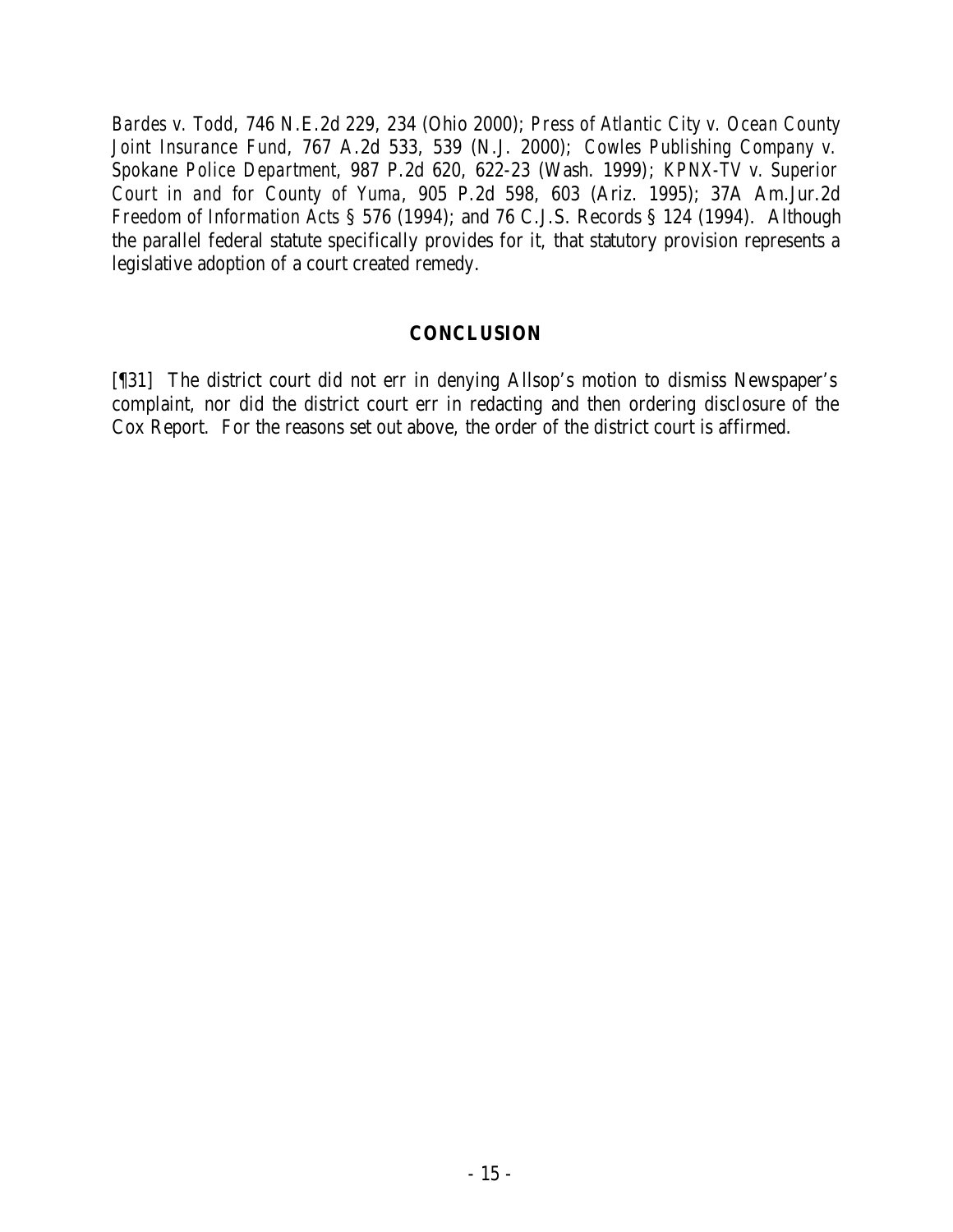*Bardes v. Todd*, 746 N.E.2d 229, 234 (Ohio 2000); *Press of Atlantic City v. Ocean County Joint Insurance Fund*, 767 A.2d 533, 539 (N.J. 2000); *Cowles Publishing Company v. Spokane Police Department*, 987 P.2d 620, 622-23 (Wash. 1999); *KPNX-TV v. Superior Court in and for County of Yuma*, 905 P.2d 598, 603 (Ariz. 1995); 37A Am.Jur.2d *Freedom of Information Acts* § 576 (1994); and 76 C.J.S. Records § 124 (1994). Although the parallel federal statute specifically provides for it, that statutory provision represents a legislative adoption of a court created remedy.

### **CONCLUSION**

[¶31] The district court did not err in denying Allsop's motion to dismiss Newspaper's complaint, nor did the district court err in redacting and then ordering disclosure of the Cox Report. For the reasons set out above, the order of the district court is affirmed.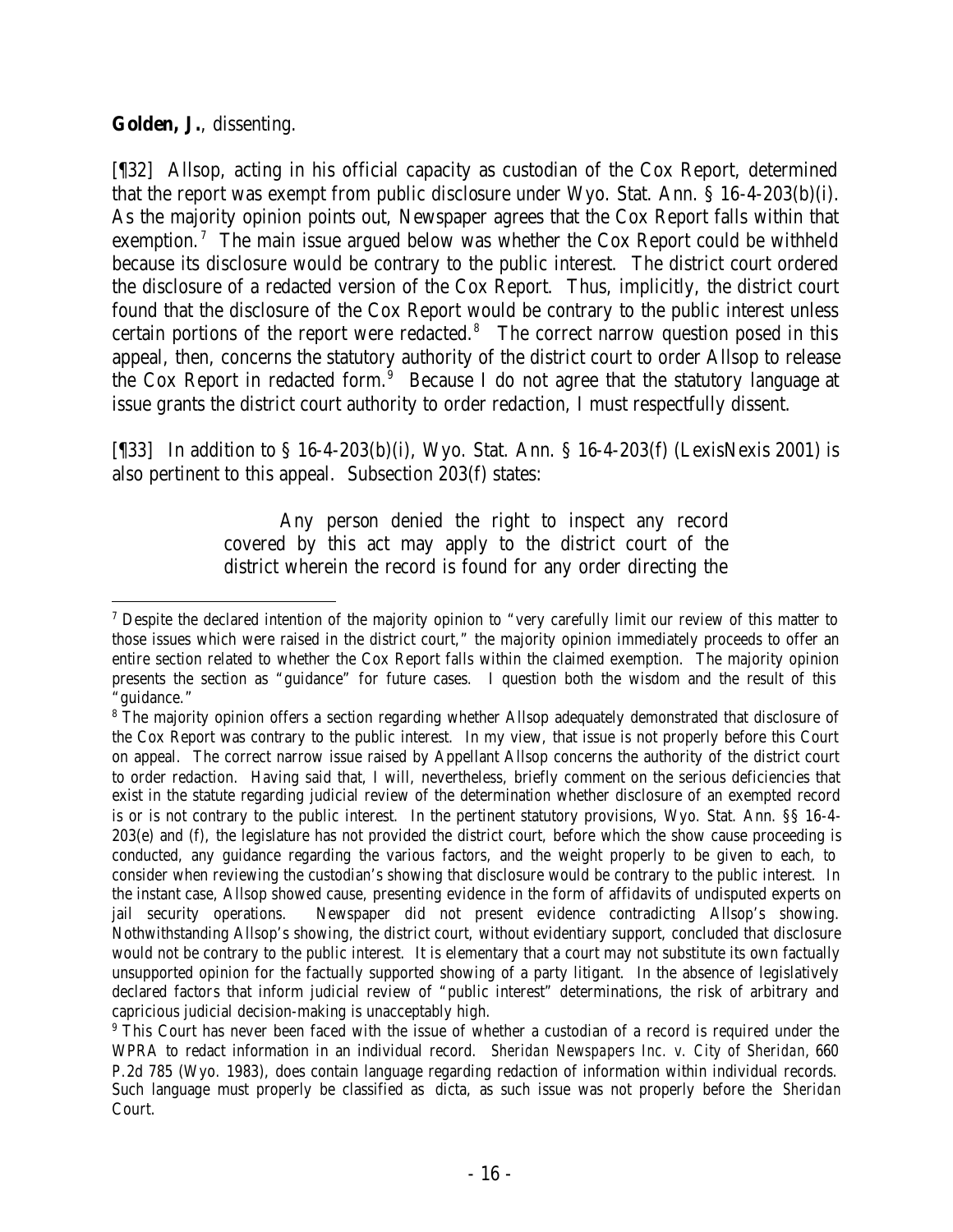### **Golden, J.**, dissenting.

[¶32] Allsop, acting in his official capacity as custodian of the Cox Report, determined that the report was exempt from public disclosure under Wyo. Stat. Ann. § 16-4-203(b)(i). As the majority opinion points out, Newspaper agrees that the Cox Report falls within that exemption.<sup>7</sup> The main issue argued below was whether the Cox Report could be withheld because its disclosure would be contrary to the public interest. The district court ordered the disclosure of a redacted version of the Cox Report. Thus, implicitly, the district court found that the disclosure of the Cox Report would be contrary to the public interest unless certain portions of the report were redacted.<sup>8</sup> The correct narrow question posed in this appeal, then, concerns the statutory authority of the district court to order Allsop to release the Cox Report in redacted form. $9$  Because I do not agree that the statutory language at issue grants the district court authority to order redaction, I must respectfully dissent.

[¶33] In addition to § 16-4-203(b)(i), Wyo. Stat. Ann. § 16-4-203(f) (LexisNexis 2001) is also pertinent to this appeal. Subsection 203(f) states:

> Any person denied the right to inspect any record covered by this act may apply to the district court of the district wherein the record is found for any order directing the

 <sup>7</sup> Despite the declared intention of the majority opinion to "very carefully limit our review of this matter to those issues which were raised in the district court," the majority opinion immediately proceeds to offer an entire section related to whether the Cox Report falls within the claimed exemption. The majority opinion presents the section as "guidance" for future cases. I question both the wisdom and the result of this "guidance."

<sup>&</sup>lt;sup>8</sup> The majority opinion offers a section regarding whether Allsop adequately demonstrated that disclosure of the Cox Report was contrary to the public interest. In my view, that issue is not properly before this Court on appeal. The correct narrow issue raised by Appellant Allsop concerns the authority of the district court to order redaction. Having said that, I will, nevertheless, briefly comment on the serious deficiencies that exist in the statute regarding judicial review of the determination whether disclosure of an exempted record is or is not contrary to the public interest. In the pertinent statutory provisions, Wyo. Stat. Ann. §§ 16-4- 203(e) and (f), the legislature has not provided the district court, before which the show cause proceeding is conducted, any guidance regarding the various factors, and the weight properly to be given to each, to consider when reviewing the custodian's showing that disclosure would be contrary to the public interest. In the instant case, Allsop showed cause, presenting evidence in the form of affidavits of undisputed experts on jail security operations. Newspaper did not present evidence contradicting Allsop's showing. Nothwithstanding Allsop's showing, the district court, without evidentiary support, concluded that disclosure would not be contrary to the public interest. It is elementary that a court may not substitute its own factually unsupported opinion for the factually supported showing of a party litigant. In the absence of legislatively declared factors that inform judicial review of "public interest" determinations, the risk of arbitrary and capricious judicial decision-making is unacceptably high.

<sup>&</sup>lt;sup>9</sup> This Court has never been faced with the issue of whether a custodian of a record is required under the WPRA to redact information in an individual record. *Sheridan Newspapers Inc. v. City of Sheridan*, 660 P.2d 785 (Wyo. 1983), does contain language regarding redaction of information within individual records. Such language must properly be classified as dicta, as such issue was not properly before the *Sheridan* Court.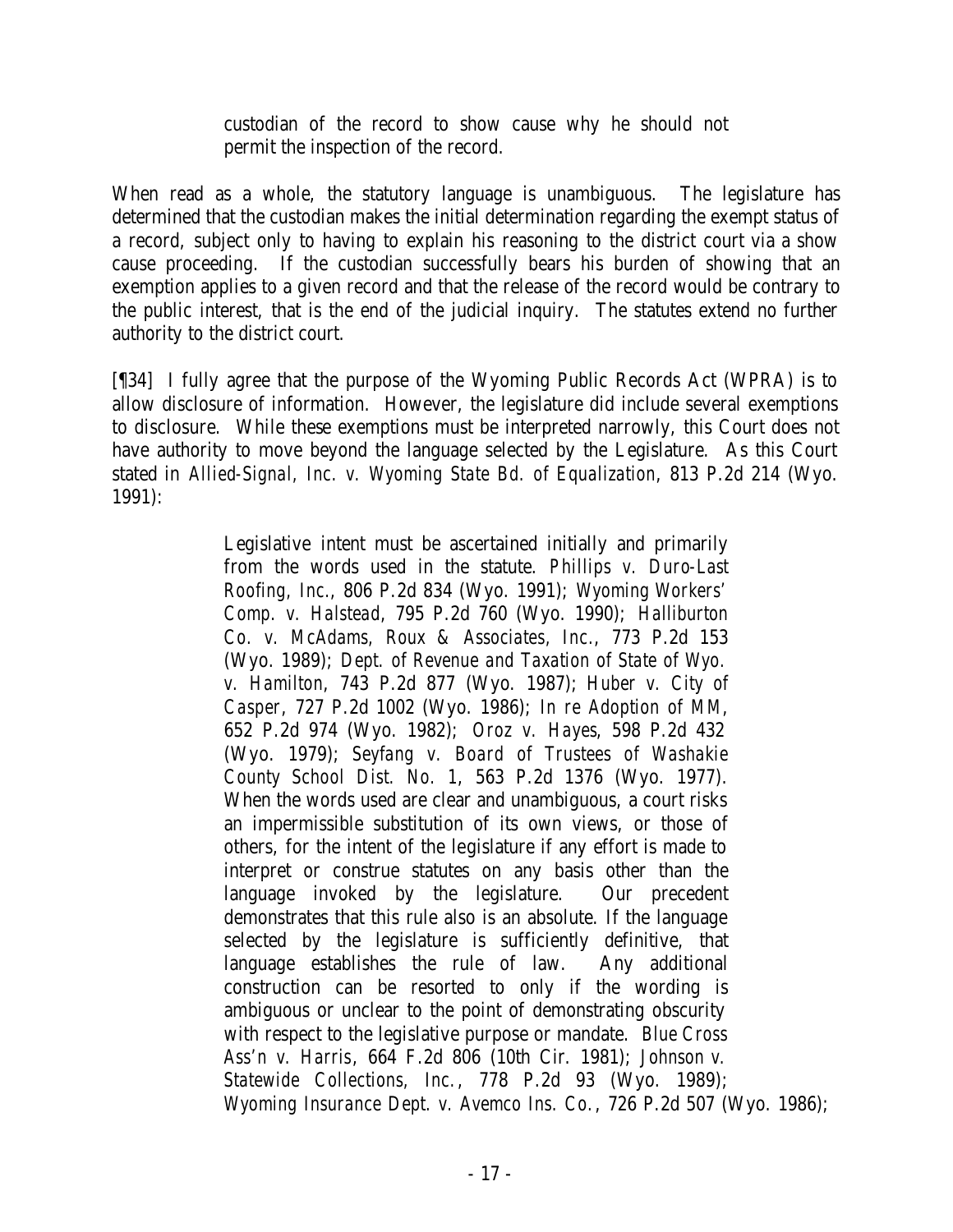custodian of the record to show cause why he should not permit the inspection of the record.

When read as a whole, the statutory language is unambiguous. The legislature has determined that the custodian makes the initial determination regarding the exempt status of a record, subject only to having to explain his reasoning to the district court via a show cause proceeding. If the custodian successfully bears his burden of showing that an exemption applies to a given record and that the release of the record would be contrary to the public interest, that is the end of the judicial inquiry. The statutes extend no further authority to the district court.

[¶34] I fully agree that the purpose of the Wyoming Public Records Act (WPRA) is to allow disclosure of information. However, the legislature did include several exemptions to disclosure. While these exemptions must be interpreted narrowly, this Court does not have authority to move beyond the language selected by the Legislature. As this Court stated in *Allied-Signal, Inc. v. Wyoming State Bd. of Equalization*, 813 P.2d 214 (Wyo. 1991):

> Legislative intent must be ascertained initially and primarily from the words used in the statute. *Phillips v. Duro-Last Roofing, Inc.*, 806 P.2d 834 (Wyo. 1991); *Wyoming Workers' Comp. v. Halstead*, 795 P.2d 760 (Wyo. 1990); *Halliburton Co. v. McAdams, Roux & Associates, Inc.*, 773 P.2d 153 (Wyo. 1989); *Dept. of Revenue and Taxation of State of Wyo. v. Hamilton*, 743 P.2d 877 (Wyo. 1987); *Huber v. City of Casper*, 727 P.2d 1002 (Wyo. 1986); *In re Adoption of MM*, 652 P.2d 974 (Wyo. 1982); *Oroz v. Hayes*, 598 P.2d 432 (Wyo. 1979); *Seyfang v. Board of Trustees of Washakie County School Dist. No. 1*, 563 P.2d 1376 (Wyo. 1977). When the words used are clear and unambiguous, a court risks an impermissible substitution of its own views, or those of others, for the intent of the legislature if any effort is made to interpret or construe statutes on any basis other than the language invoked by the legislature. Our precedent demonstrates that this rule also is an absolute. If the language selected by the legislature is sufficiently definitive, that language establishes the rule of law. Any additional construction can be resorted to only if the wording is ambiguous or unclear to the point of demonstrating obscurity with respect to the legislative purpose or mandate. *Blue Cross Ass'n v. Harris*, 664 F.2d 806 (10th Cir. 1981); *Johnson v. Statewide Collections, Inc.*, 778 P.2d 93 (Wyo. 1989); *Wyoming Insurance Dept. v. Avemco Ins. Co.*, 726 P.2d 507 (Wyo. 1986);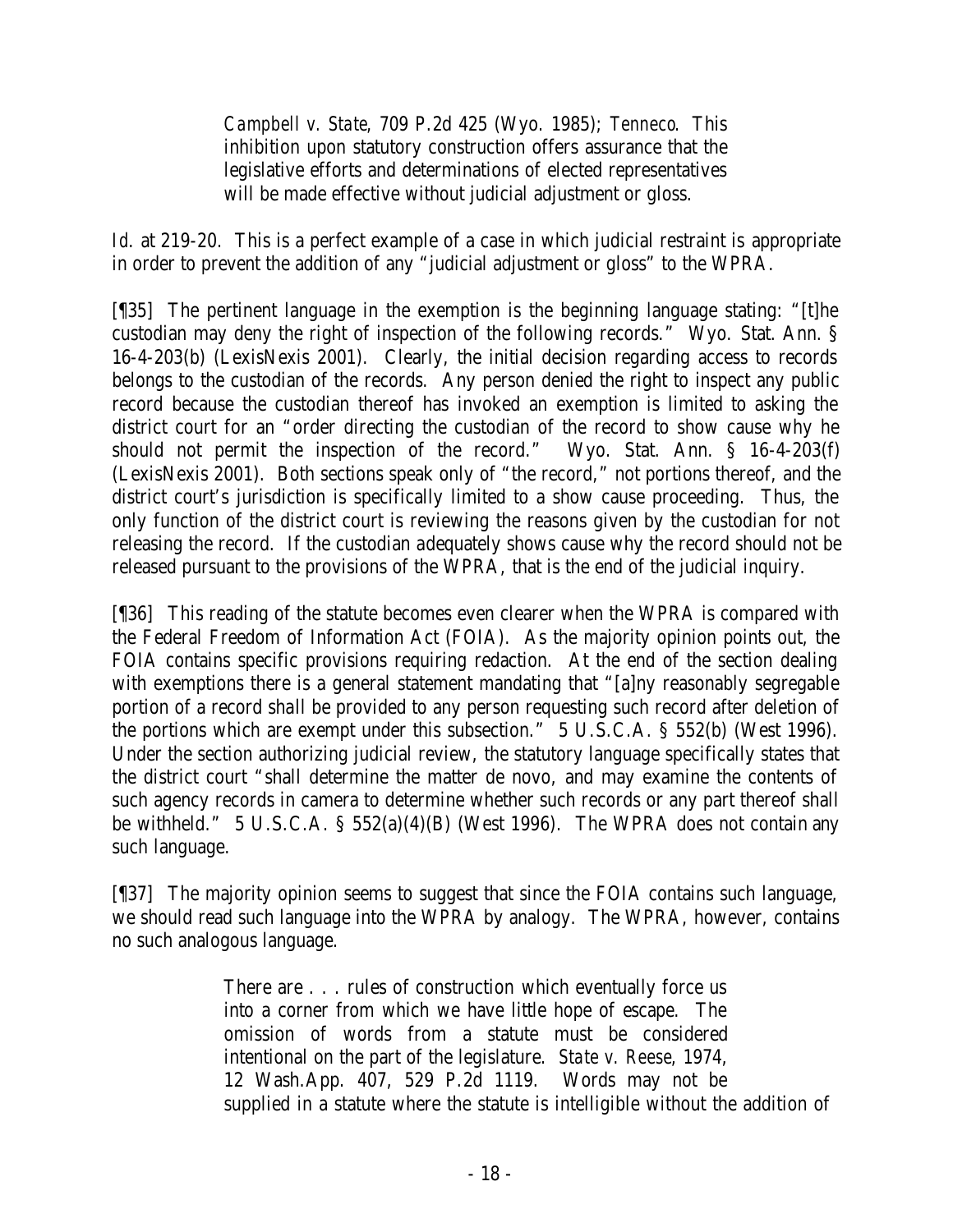*Campbell v. State*, 709 P.2d 425 (Wyo. 1985); *Tenneco*. This inhibition upon statutory construction offers assurance that the legislative efforts and determinations of elected representatives will be made effective without judicial adjustment or gloss.

*Id*. at 219-20. This is a perfect example of a case in which judicial restraint is appropriate in order to prevent the addition of any "judicial adjustment or gloss" to the WPRA.

[¶35] The pertinent language in the exemption is the beginning language stating: "[t]he custodian may deny the right of inspection of the following records." Wyo. Stat. Ann. § 16-4-203(b) (LexisNexis 2001). Clearly, the initial decision regarding access to records belongs to the custodian of the records. Any person denied the right to inspect any public record because the custodian thereof has invoked an exemption is limited to asking the district court for an "order directing the custodian of the record to show cause why he should not permit the inspection of the record." Wyo. Stat. Ann. § 16-4-203(f) (LexisNexis 2001). Both sections speak only of "the record," not portions thereof, and the district court's jurisdiction is specifically limited to a show cause proceeding. Thus, the only function of the district court is reviewing the reasons given by the custodian for not releasing the record. If the custodian adequately shows cause why the record should not be released pursuant to the provisions of the WPRA, that is the end of the judicial inquiry.

[¶36] This reading of the statute becomes even clearer when the WPRA is compared with the Federal Freedom of Information Act (FOIA). As the majority opinion points out, the FOIA contains specific provisions requiring redaction. At the end of the section dealing with exemptions there is a general statement mandating that "[a]ny reasonably segregable portion of a record shall be provided to any person requesting such record after deletion of the portions which are exempt under this subsection." 5 U.S.C.A. § 552(b) (West 1996). Under the section authorizing judicial review, the statutory language specifically states that the district court "shall determine the matter de novo, and may examine the contents of such agency records in camera to determine whether such records or any part thereof shall be withheld." 5 U.S.C.A. § 552(a)(4)(B) (West 1996). The WPRA does not contain any such language.

[¶37] The majority opinion seems to suggest that since the FOIA contains such language, we should read such language into the WPRA by analogy. The WPRA, however, contains no such analogous language.

> There are . . . rules of construction which eventually force us into a corner from which we have little hope of escape. The omission of words from a statute must be considered intentional on the part of the legislature. *State v. Reese*, 1974, 12 Wash.App. 407, 529 P.2d 1119. Words may not be supplied in a statute where the statute is intelligible without the addition of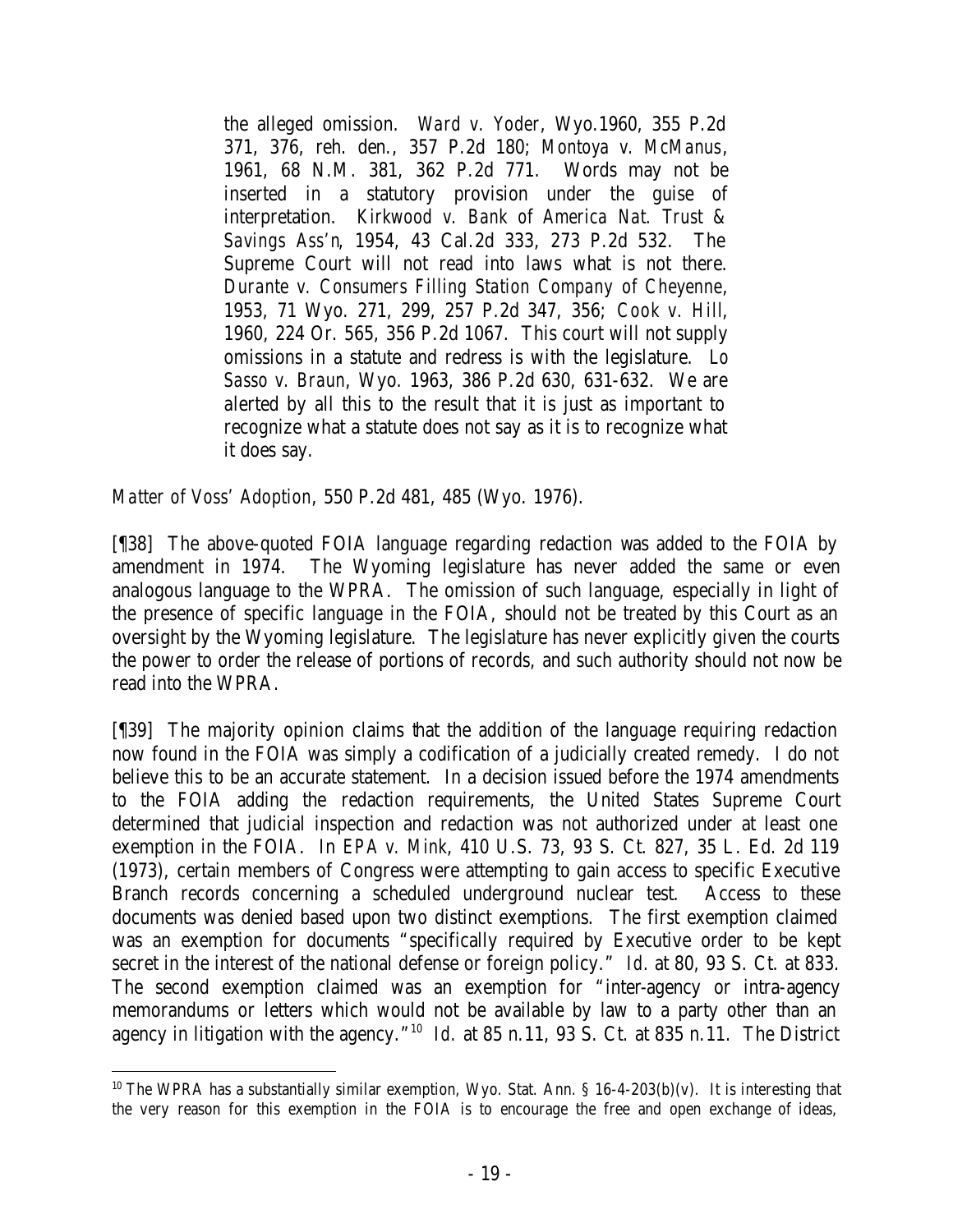the alleged omission. *Ward v. Yoder*, Wyo.1960, 355 P.2d 371, 376, reh. den., 357 P.2d 180; *Montoya v. McManus*, 1961, 68 N.M. 381, 362 P.2d 771. Words may not be inserted in a statutory provision under the guise of interpretation. *Kirkwood v. Bank of America Nat. Trust & Savings Ass'n*, 1954, 43 Cal.2d 333, 273 P.2d 532. The Supreme Court will not read into laws what is not there. *Durante v. Consumers Filling Station Company of Cheyenne*, 1953, 71 Wyo. 271, 299, 257 P.2d 347, 356; *Cook v. Hill*, 1960, 224 Or. 565, 356 P.2d 1067. This court will not supply omissions in a statute and redress is with the legislature. *Lo Sasso v. Braun*, Wyo. 1963, 386 P.2d 630, 631-632. We are alerted by all this to the result that it is just as important to recognize what a statute does not say as it is to recognize what it does say.

*Matter of Voss' Adoption*, 550 P.2d 481, 485 (Wyo. 1976).

[¶38] The above-quoted FOIA language regarding redaction was added to the FOIA by amendment in 1974. The Wyoming legislature has never added the same or even analogous language to the WPRA. The omission of such language, especially in light of the presence of specific language in the FOIA, should not be treated by this Court as an oversight by the Wyoming legislature. The legislature has never explicitly given the courts the power to order the release of portions of records, and such authority should not now be read into the WPRA.

[¶39] The majority opinion claims that the addition of the language requiring redaction now found in the FOIA was simply a codification of a judicially created remedy. I do not believe this to be an accurate statement. In a decision issued before the 1974 amendments to the FOIA adding the redaction requirements, the United States Supreme Court determined that judicial inspection and redaction was not authorized under at least one exemption in the FOIA. In *EPA v. Mink*, 410 U.S. 73, 93 S. Ct. 827, 35 L. Ed. 2d 119 (1973), certain members of Congress were attempting to gain access to specific Executive Branch records concerning a scheduled underground nuclear test. Access to these documents was denied based upon two distinct exemptions. The first exemption claimed was an exemption for documents "specifically required by Executive order to be kept secret in the interest of the national defense or foreign policy." *Id.* at 80, 93 S. Ct. at 833. The second exemption claimed was an exemption for "inter-agency or intra-agency memorandums or letters which would not be available by law to a party other than an agency in litigation with the agency.<sup>"10</sup> *Id.* at 85 n.11, 93 S. Ct. at 835 n.11. The District

<sup>&</sup>lt;sup>10</sup> The WPRA has a substantially similar exemption, Wyo. Stat. Ann. § 16-4-203(b)(v). It is interesting that the very reason for this exemption in the FOIA is to encourage the free and open exchange of ideas,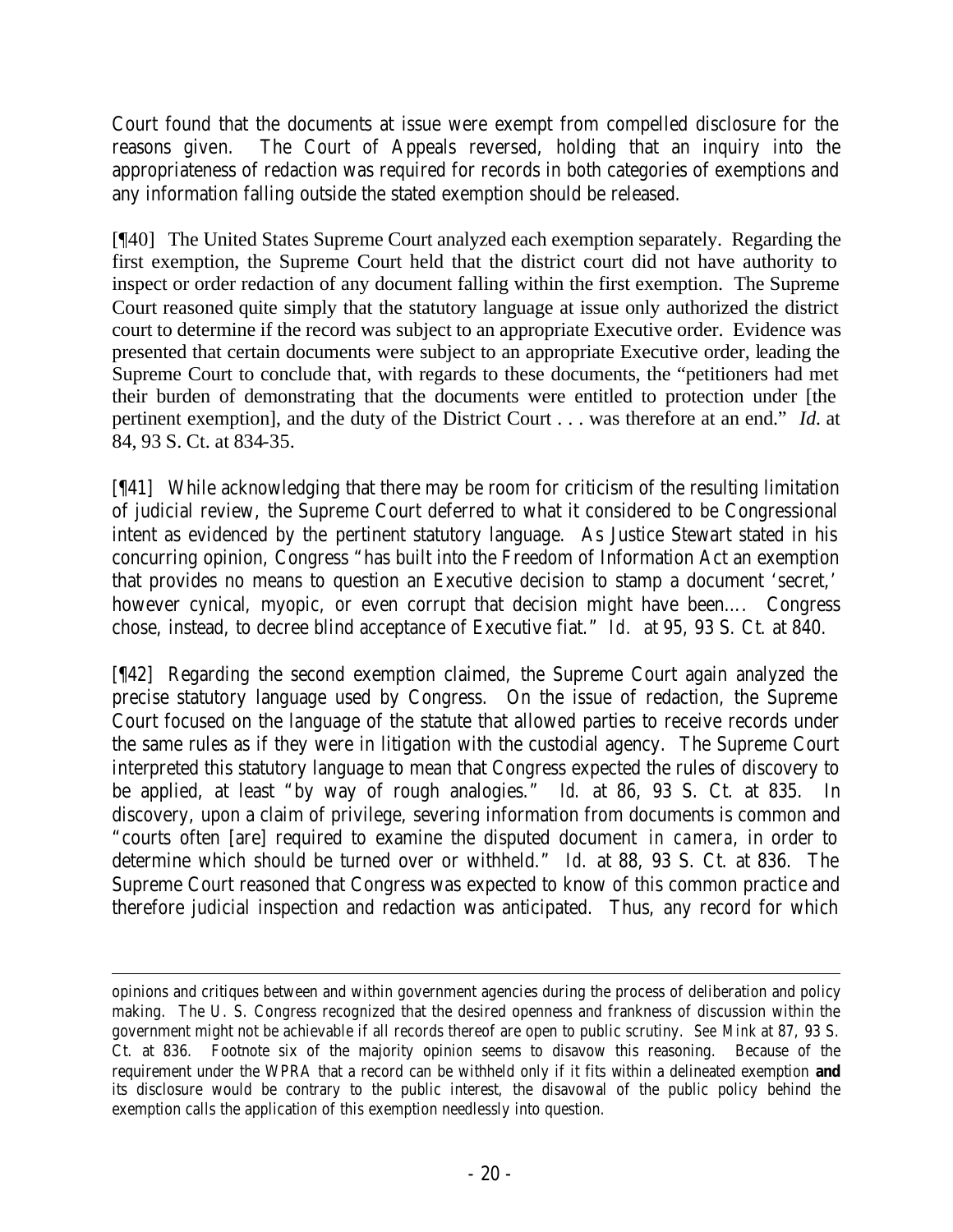Court found that the documents at issue were exempt from compelled disclosure for the reasons given. The Court of Appeals reversed, holding that an inquiry into the appropriateness of redaction was required for records in both categories of exemptions and any information falling outside the stated exemption should be released.

[¶40] The United States Supreme Court analyzed each exemption separately. Regarding the first exemption, the Supreme Court held that the district court did not have authority to inspect or order redaction of any document falling within the first exemption. The Supreme Court reasoned quite simply that the statutory language at issue only authorized the district court to determine if the record was subject to an appropriate Executive order. Evidence was presented that certain documents were subject to an appropriate Executive order, leading the Supreme Court to conclude that, with regards to these documents, the "petitioners had met their burden of demonstrating that the documents were entitled to protection under [the pertinent exemption], and the duty of the District Court . . . was therefore at an end." *Id.* at 84, 93 S. Ct. at 834-35.

[¶41] While acknowledging that there may be room for criticism of the resulting limitation of judicial review, the Supreme Court deferred to what it considered to be Congressional intent as evidenced by the pertinent statutory language. As Justice Stewart stated in his concurring opinion, Congress "has built into the Freedom of Information Act an exemption that provides no means to question an Executive decision to stamp a document 'secret,' however cynical, myopic, or even corrupt that decision might have been…. Congress chose, instead, to decree blind acceptance of Executive fiat." *Id.* at 95, 93 S. Ct. at 840.

[¶42] Regarding the second exemption claimed, the Supreme Court again analyzed the precise statutory language used by Congress. On the issue of redaction, the Supreme Court focused on the language of the statute that allowed parties to receive records under the same rules as if they were in litigation with the custodial agency. The Supreme Court interpreted this statutory language to mean that Congress expected the rules of discovery to be applied, at least "by way of rough analogies." *Id.* at 86, 93 S. Ct. at 835. In discovery, upon a claim of privilege, severing information from documents is common and "courts often [are] required to examine the disputed document *in camera*, in order to determine which should be turned over or withheld." *Id.* at 88, 93 S. Ct. at 836. The Supreme Court reasoned that Congress was expected to know of this common practice and therefore judicial inspection and redaction was anticipated. Thus, any record for which

opinions and critiques between and within government agencies during the process of deliberation and policy making. The U. S. Congress recognized that the desired openness and frankness of discussion within the government might not be achievable if all records thereof are open to public scrutiny. *See Mink* at 87, 93 S. Ct. at 836. Footnote six of the majority opinion seems to disavow this reasoning. Because of the requirement under the WPRA that a record can be withheld only if it fits within a delineated exemption **and** its disclosure would be contrary to the public interest, the disavowal of the public policy behind the exemption calls the application of this exemption needlessly into question.